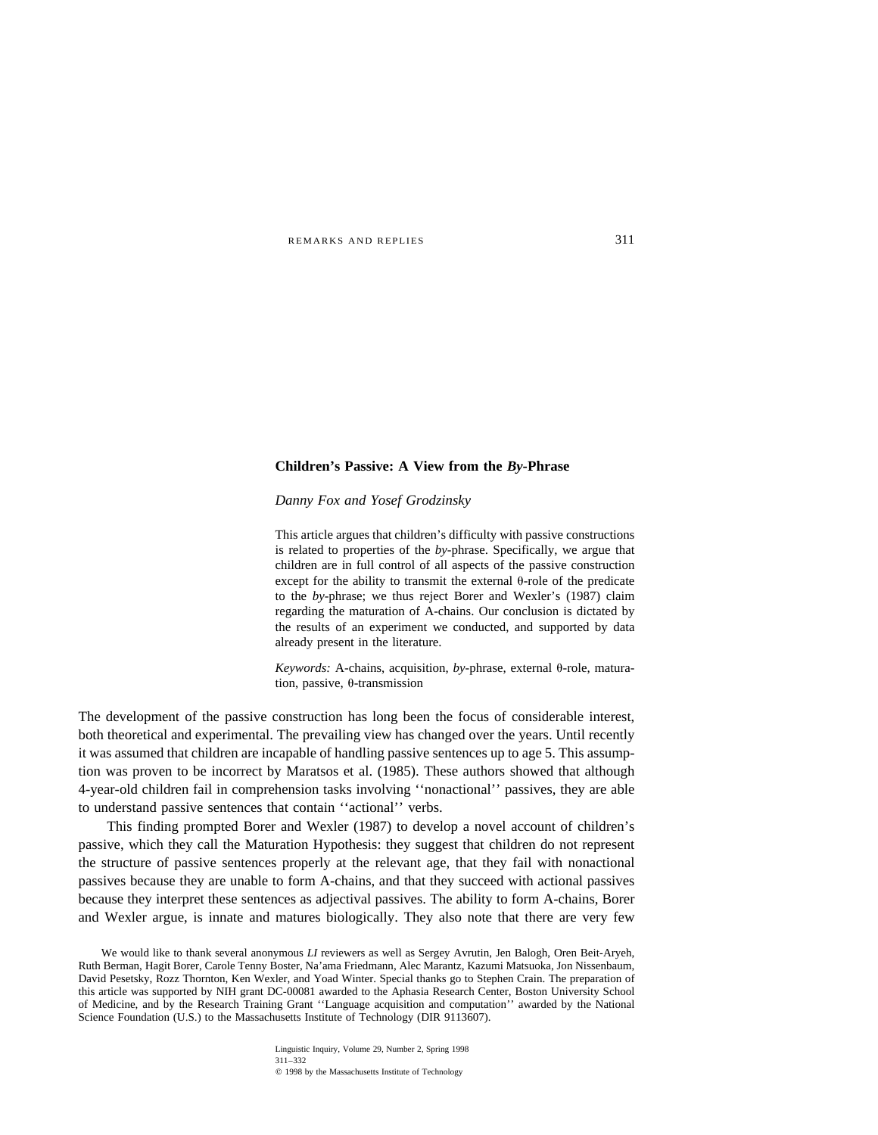# **Children's Passive: A View from the** *By***-Phrase**

*Danny Fox and Yosef Grodzinsky*

This article argues that children's difficulty with passive constructions is related to properties of the *by*-phrase. Specifically, we argue that children are in full control of all aspects of the passive construction except for the ability to transmit the external  $\theta$ -role of the predicate to the *by*-phrase; we thus reject Borer and Wexler's (1987) claim regarding the maturation of A-chains. Our conclusion is dictated by the results of an experiment we conducted, and supported by data already present in the literature.

*Keywords:* A-chains, acquisition, by-phrase, external θ-role, maturation, passive,  $\theta$ -transmission

The development of the passive construction has long been the focus of considerable interest, both theoretical and experimental. The prevailing view has changed over the years. Until recently it was assumed that children are incapable of handling passive sentences up to age 5. This assumption was proven to be incorrect by Maratsos et al. (1985). These authors showed that although 4-year-old children fail in comprehension tasks involving ''nonactional'' passives, they are able to understand passive sentences that contain ''actional'' verbs.

This finding prompted Borer and Wexler (1987) to develop a novel account of children's passive, which they call the Maturation Hypothesis: they suggest that children do not represent the structure of passive sentences properly at the relevant age, that they fail with nonactional passives because they are unable to form A-chains, and that they succeed with actional passives because they interpret these sentences as adjectival passives. The ability to form A-chains, Borer and Wexler argue, is innate and matures biologically. They also note that there are very few

We would like to thank several anonymous *LI* reviewers as well as Sergey Avrutin, Jen Balogh, Oren Beit-Aryeh, Ruth Berman, Hagit Borer, Carole Tenny Boster, Na'ama Friedmann, Alec Marantz, Kazumi Matsuoka, Jon Nissenbaum, David Pesetsky, Rozz Thornton, Ken Wexler, and Yoad Winter. Special thanks go to Stephen Crain. The preparation of this article was supported by NIH grant DC-00081 awarded to the Aphasia Research Center, Boston University School of Medicine, and by the Research Training Grant ''Language acquisition and computation'' awarded by the National Science Foundation (U.S.) to the Massachusetts Institute of Technology (DIR 9113607).

> Linguistic Inquiry, Volume 29, Number 2, Spring 1998 311–332  $Q$  1998 by the Massachusetts Institute of Technology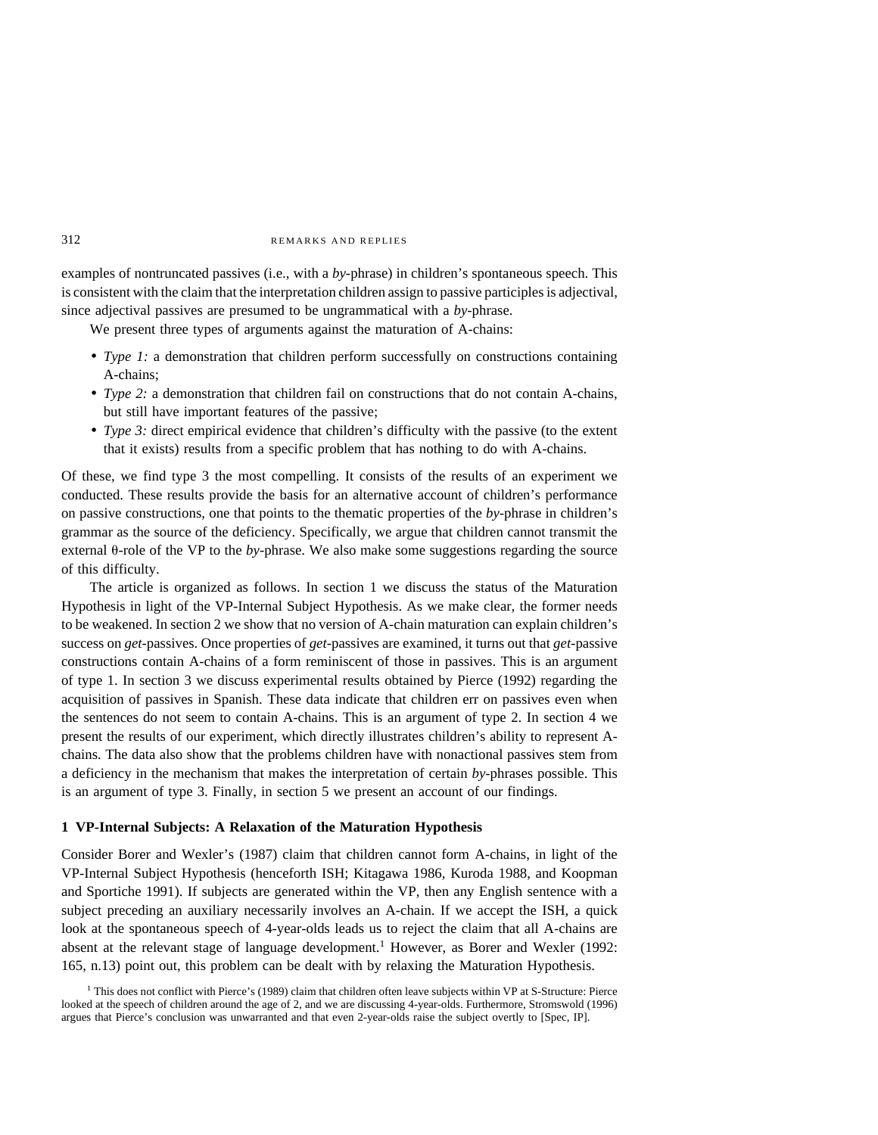examples of nontruncated passives (i.e., with a *by*-phrase) in children's spontaneous speech. This is consistent with the claim that the interpretation children assign to passive participles is adjectival, since adjectival passives are presumed to be ungrammatical with a *by*-phrase.

We present three types of arguments against the maturation of A-chains:

- *Type 1:* a demonstration that children perform successfully on constructions containing A-chains;
- *Type 2:* a demonstration that children fail on constructions that do not contain A-chains, but still have important features of the passive;
- *Type 3:* direct empirical evidence that children's difficulty with the passive (to the extent that it exists) results from a specific problem that has nothing to do with A-chains.

Of these, we find type 3 the most compelling. It consists of the results of an experiment we conducted. These results provide the basis for an alternative account of children's performance on passive constructions, one that points to the thematic properties of the *by*-phrase in children's grammar as the source of the deficiency. Specifically, we argue that children cannot transmit the external  $\theta$ -role of the VP to the *by*-phrase. We also make some suggestions regarding the source of this difficulty.

The article is organized as follows. In section 1 we discuss the status of the Maturation Hypothesis in light of the VP-Internal Subject Hypothesis. As we make clear, the former needs to be weakened. In section 2 we show that no version of A-chain maturation can explain children's success on *get*-passives. Once properties of *get-*passives are examined, it turns out that *get-*passive constructions contain A-chains of a form reminiscent of those in passives. This is an argument of type 1. In section 3 we discuss experimental results obtained by Pierce (1992) regarding the acquisition of passives in Spanish. These data indicate that children err on passives even when the sentences do not seem to contain A-chains. This is an argument of type 2. In section 4 we present the results of our experiment, which directly illustrates children's ability to represent Achains. The data also show that the problems children have with nonactional passives stem from a deficiency in the mechanism that makes the interpretation of certain *by*-phrases possible. This is an argument of type 3. Finally, in section 5 we present an account of our findings.

#### **1 VP-Internal Subjects: A Relaxation of the Maturation Hypothesis**

Consider Borer and Wexler's (1987) claim that children cannot form A-chains, in light of the VP-Internal Subject Hypothesis (henceforth ISH; Kitagawa 1986, Kuroda 1988, and Koopman and Sportiche 1991). If subjects are generated within the VP, then any English sentence with a subject preceding an auxiliary necessarily involves an A-chain. If we accept the ISH, a quick look at the spontaneous speech of 4-year-olds leads us to reject the claim that all A-chains are absent at the relevant stage of language development.<sup>1</sup> However, as Borer and Wexler (1992: 165, n.13) point out, this problem can be dealt with by relaxing the Maturation Hypothesis.

 $<sup>1</sup>$  This does not conflict with Pierce's (1989) claim that children often leave subjects within VP at S-Structure: Pierce</sup> looked at the speech of children around the age of 2, and we are discussing 4-year-olds. Furthermore, Stromswold (1996) argues that Pierce's conclusion was unwarranted and that even 2-year-olds raise the subject overtly to [Spec, IP].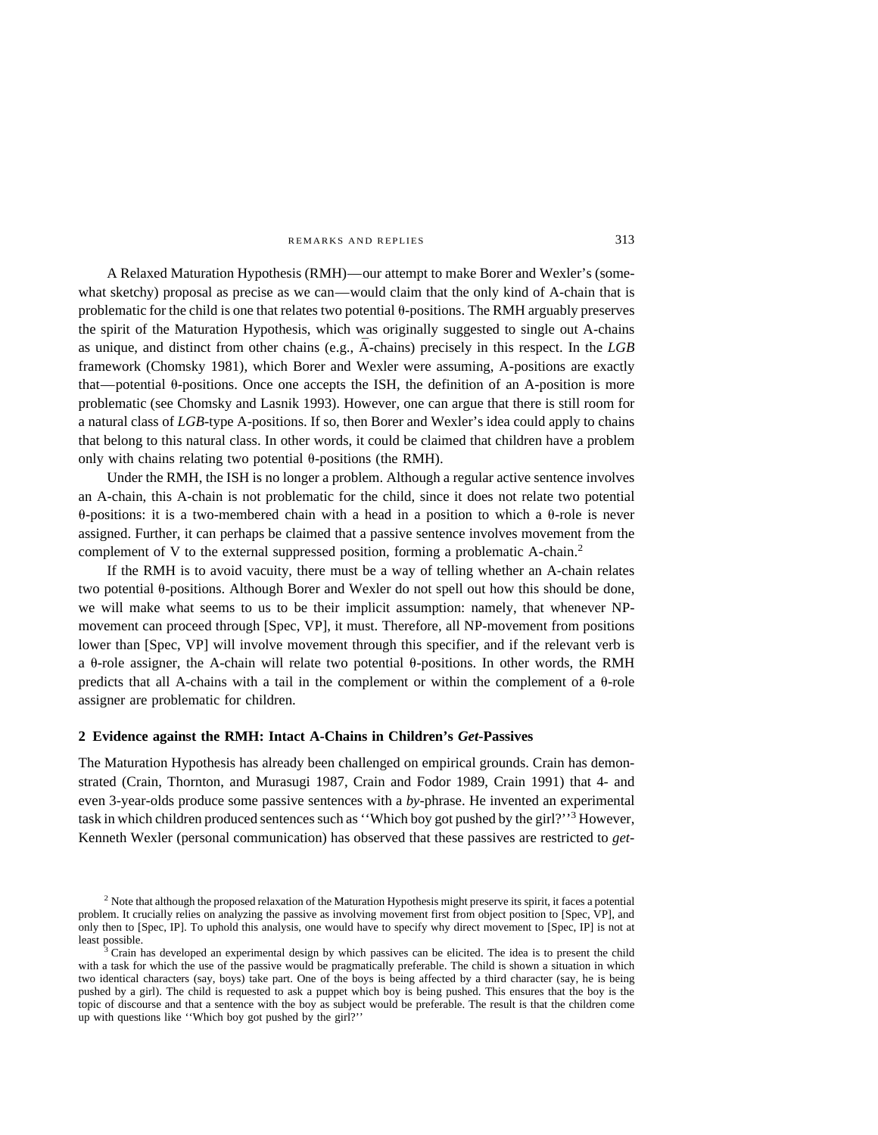A Relaxed Maturation Hypothesis (RMH)—our attempt to make Borer and Wexler's (somewhat sketchy) proposal as precise as we can—would claim that the only kind of A-chain that is problematic for the child is one that relates two potential  $\theta$ -positions. The RMH arguably preserves the spirit of the Maturation Hypothesis, which was originally suggested to single out A-chains as unique, and distinct from other chains (e.g., A¯ -chains) precisely in this respect. In the *LGB* framework (Chomsky 1981), which Borer and Wexler were assuming, A-positions are exactly that—potential  $\theta$ -positions. Once one accepts the ISH, the definition of an A-position is more problematic (see Chomsky and Lasnik 1993). However, one can argue that there is still room for a natural class of *LGB*-type A-positions. If so, then Borer and Wexler's idea could apply to chains that belong to this natural class. In other words, it could be claimed that children have a problem only with chains relating two potential  $\theta$ -positions (the RMH).

Under the RMH, the ISH is no longer a problem. Although a regular active sentence involves an A-chain, this A-chain is not problematic for the child, since it does not relate two potential  $\theta$ -positions: it is a two-membered chain with a head in a position to which a  $\theta$ -role is never assigned. Further, it can perhaps be claimed that a passive sentence involves movement from the complement of V to the external suppressed position, forming a problematic A-chain.<sup>2</sup>

If the RMH is to avoid vacuity, there must be a way of telling whether an A-chain relates two potential  $\theta$ -positions. Although Borer and Wexler do not spell out how this should be done, we will make what seems to us to be their implicit assumption: namely, that whenever NPmovement can proceed through [Spec, VP], it must. Therefore, all NP-movement from positions lower than [Spec, VP] will involve movement through this specifier, and if the relevant verb is a  $\theta$ -role assigner, the A-chain will relate two potential  $\theta$ -positions. In other words, the RMH predicts that all A-chains with a tail in the complement or within the complement of a  $\theta$ -role assigner are problematic for children.

#### **2 Evidence against the RMH: Intact A-Chains in Children's** *Get***-Passives**

The Maturation Hypothesis has already been challenged on empirical grounds. Crain has demonstrated (Crain, Thornton, and Murasugi 1987, Crain and Fodor 1989, Crain 1991) that 4- and even 3-year-olds produce some passive sentences with a *by*-phrase. He invented an experimental task in which children produced sentences such as ''Which boy got pushed by the girl?''<sup>3</sup> However, Kenneth Wexler (personal communication) has observed that these passives are restricted to *get-*

<sup>&</sup>lt;sup>2</sup> Note that although the proposed relaxation of the Maturation Hypothesis might preserve its spirit, it faces a potential problem. It crucially relies on analyzing the passive as involving movement first from object position to [Spec, VP], and only then to [Spec, IP]. To uphold this analysis, one would have to specify why direct movement to [Spec, IP] is not at least possible.<br><sup>3</sup> Crain has developed an experimental design by which passives can be elicited. The idea is to present the child

with a task for which the use of the passive would be pragmatically preferable. The child is shown a situation in which two identical characters (say, boys) take part. One of the boys is being affected by a third character (say, he is being pushed by a girl). The child is requested to ask a puppet which boy is being pushed. This ensures that the boy is the topic of discourse and that a sentence with the boy as subject would be preferable. The result is that the children come up with questions like ''Which boy got pushed by the girl?''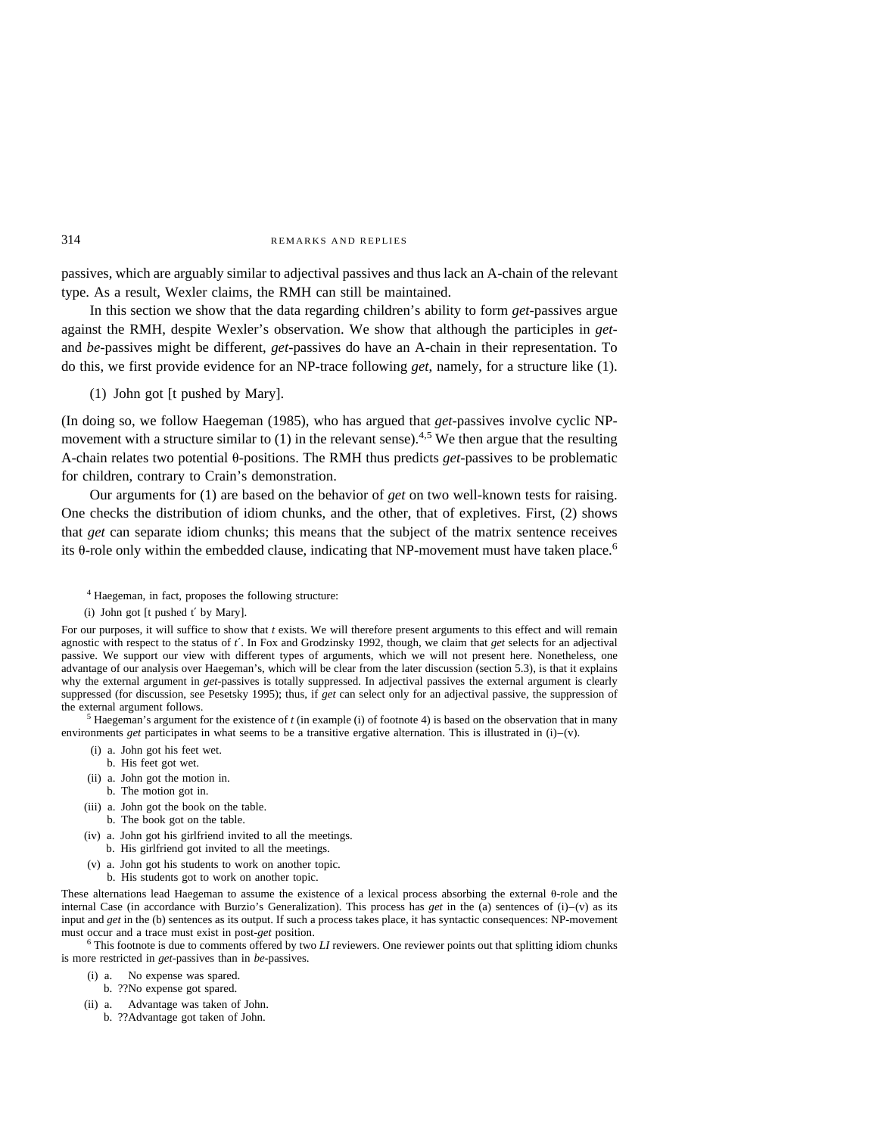passives, which are arguably similar to adjectival passives and thus lack an A-chain of the relevant type. As a result, Wexler claims, the RMH can still be maintained.

In this section we show that the data regarding children's ability to form *get-*passives argue against the RMH, despite Wexler's observation. We show that although the participles in *get*and *be-*passives might be different, *get-*passives do have an A-chain in their representation. To do this, we first provide evidence for an NP-trace following *get*, namely, for a structure like (1).

(1) John got [t pushed by Mary].

(In doing so, we follow Haegeman (1985), who has argued that *get*-passives involve cyclic NPmovement with a structure similar to (1) in the relevant sense).<sup>4,5</sup> We then argue that the resulting A-chain relates two potential  $\theta$ -positions. The RMH thus predicts *get*-passives to be problematic for children, contrary to Crain's demonstration.

Our arguments for (1) are based on the behavior of *get* on two well-known tests for raising. One checks the distribution of idiom chunks, and the other, that of expletives. First, (2) shows that *get* can separate idiom chunks; this means that the subject of the matrix sentence receives its  $\theta$ -role only within the embedded clause, indicating that NP-movement must have taken place.<sup>6</sup>

<sup>4</sup> Haegeman, in fact, proposes the following structure:

For our purposes, it will suffice to show that *t* exists. We will therefore present arguments to this effect and will remain agnostic with respect to the status of *t*′. In Fox and Grodzinsky 1992, though, we claim that *get* selects for an adjectival passive. We support our view with different types of arguments, which we will not present here. Nonetheless, one advantage of our analysis over Haegeman's, which will be clear from the later discussion (section 5.3), is that it explains why the external argument in *get-*passives is totally suppressed. In adjectival passives the external argument is clearly suppressed (for discussion, see Pesetsky 1995); thus, if *get* can select only for an adjectival passive, the suppression of the external argument follows.

<sup>5</sup> Haegeman's argument for the existence of *t* (in example (i) of footnote 4) is based on the observation that in many environments *get* participates in what seems to be a transitive ergative alternation. This is illustrated in (i)–(v).

- (i) a. John got his feet wet.
	- b. His feet got wet.
- (ii) a. John got the motion in.
- b. The motion got in.
- (iii) a. John got the book on the table.
- b. The book got on the table.
- (iv) a. John got his girlfriend invited to all the meetings. b. His girlfriend got invited to all the meetings.
- (v) a. John got his students to work on another topic.
	- b. His students got to work on another topic.

These alternations lead Haegeman to assume the existence of a lexical process absorbing the external  $\theta$ -role and the internal Case (in accordance with Burzio's Generalization). This process has *get* in the (a) sentences of (i)–(v) as its input and *get* in the (b) sentences as its output. If such a process takes place, it has syntactic consequences: NP-movement must occur and a trace must exist in post-*get* position.<br><sup>6</sup> This footnote is due to comments offered by two *LI* reviewers. One reviewer points out that splitting idiom chunks

is more restricted in *get*-passives than in *be-*passives.

- (i) a. No expense was spared.
- b. ??No expense got spared.
- (ii) a. Advantage was taken of John.
	- b. ??Advantage got taken of John.

<sup>(</sup>i) John got [t pushed t′ by Mary].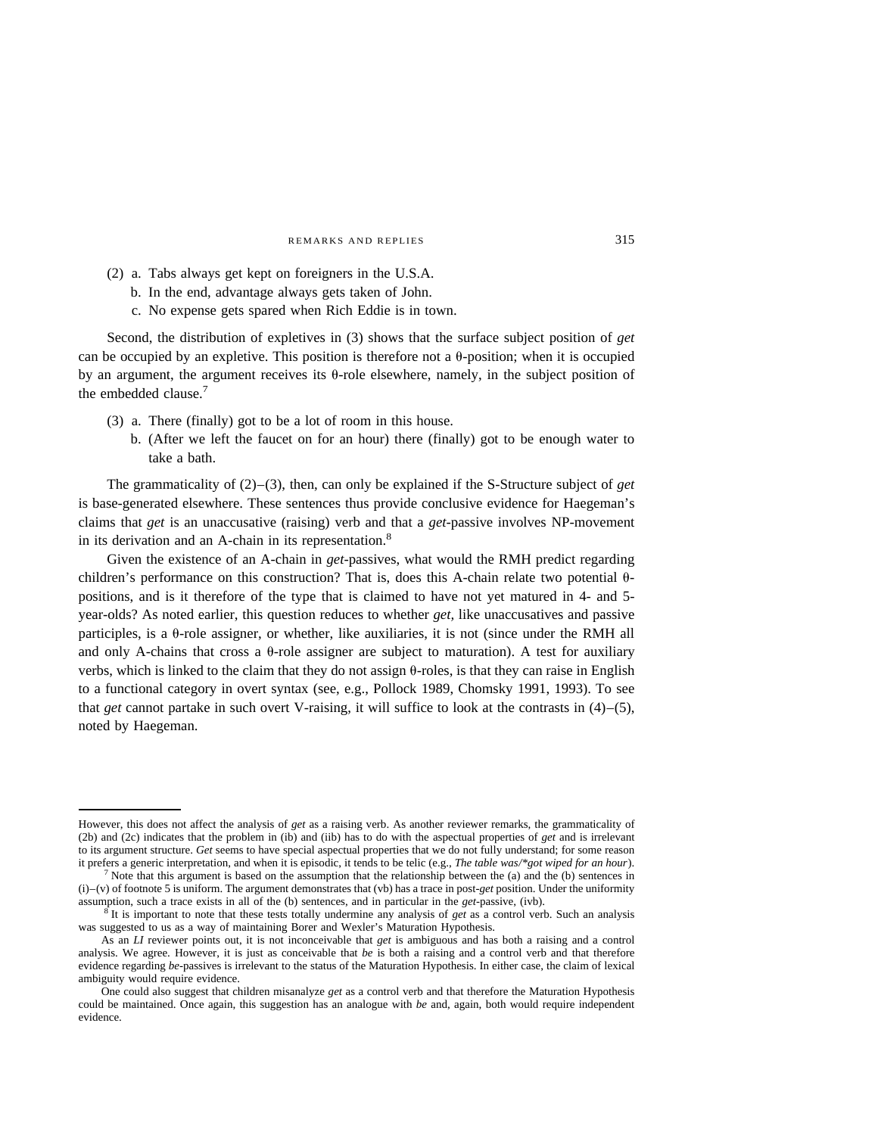- (2) a. Tabs always get kept on foreigners in the U.S.A.
	- b. In the end, advantage always gets taken of John.
	- c. No expense gets spared when Rich Eddie is in town.

Second, the distribution of expletives in (3) shows that the surface subject position of *get* can be occupied by an expletive. This position is therefore not a  $\theta$ -position; when it is occupied by an argument, the argument receives its  $\theta$ -role elsewhere, namely, in the subject position of the embedded clause.<sup>7</sup>

- (3) a. There (finally) got to be a lot of room in this house.
	- b. (After we left the faucet on for an hour) there (finally) got to be enough water to take a bath.

The grammaticality of (2)–(3), then, can only be explained if the S-Structure subject of *get* is base-generated elsewhere. These sentences thus provide conclusive evidence for Haegeman's claims that *get* is an unaccusative (raising) verb and that a *get*-passive involves NP-movement in its derivation and an A-chain in its representation.<sup>8</sup>

Given the existence of an A-chain in *get-*passives, what would the RMH predict regarding children's performance on this construction? That is, does this A-chain relate two potential  $\theta$ positions, and is it therefore of the type that is claimed to have not yet matured in 4- and 5 year-olds? As noted earlier, this question reduces to whether *get,* like unaccusatives and passive participles, is a  $\theta$ -role assigner, or whether, like auxiliaries, it is not (since under the RMH all and only A-chains that cross a  $\theta$ -role assigner are subject to maturation). A test for auxiliary verbs, which is linked to the claim that they do not assign  $\theta$ -roles, is that they can raise in English to a functional category in overt syntax (see, e.g., Pollock 1989, Chomsky 1991, 1993). To see that *get* cannot partake in such overt V-raising, it will suffice to look at the contrasts in (4)–(5), noted by Haegeman.

However, this does not affect the analysis of *get* as a raising verb. As another reviewer remarks, the grammaticality of (2b) and (2c) indicates that the problem in (ib) and (iib) has to do with the aspectual properties of *get* and is irrelevant to its argument structure. *Get* seems to have special aspectual properties that we do not fully understand; for some reason

it prefers a generic interpretation, and when it is episodic, it tends to be telic (e.g., *The table was/\*got wiped for an hour)*.<br><sup>7</sup> Note that this argument is based on the assumption that the relationship between the (  $(i)$ –(v) of footnote 5 is uniform. The argument demonstrates that (vb) has a trace in post-*get* position. Under the uniformity assumption, such a trace exists in all of the (b) sentences, and in particular in the *get*-p

 $\frac{1}{8}$  It is important to note that these tests totally undermine any analysis of *get* as a control verb. Such an analysis was suggested to us as a way of maintaining Borer and Wexler's Maturation Hypothesis.

As an *LI* reviewer points out, it is not inconceivable that *get* is ambiguous and has both a raising and a control analysis. We agree. However, it is just as conceivable that *be* is both a raising and a control verb and that therefore evidence regarding *be-*passives is irrelevant to the status of the Maturation Hypothesis. In either case, the claim of lexical ambiguity would require evidence.

One could also suggest that children misanalyze *get* as a control verb and that therefore the Maturation Hypothesis could be maintained. Once again, this suggestion has an analogue with *be* and, again, both would require independent evidence.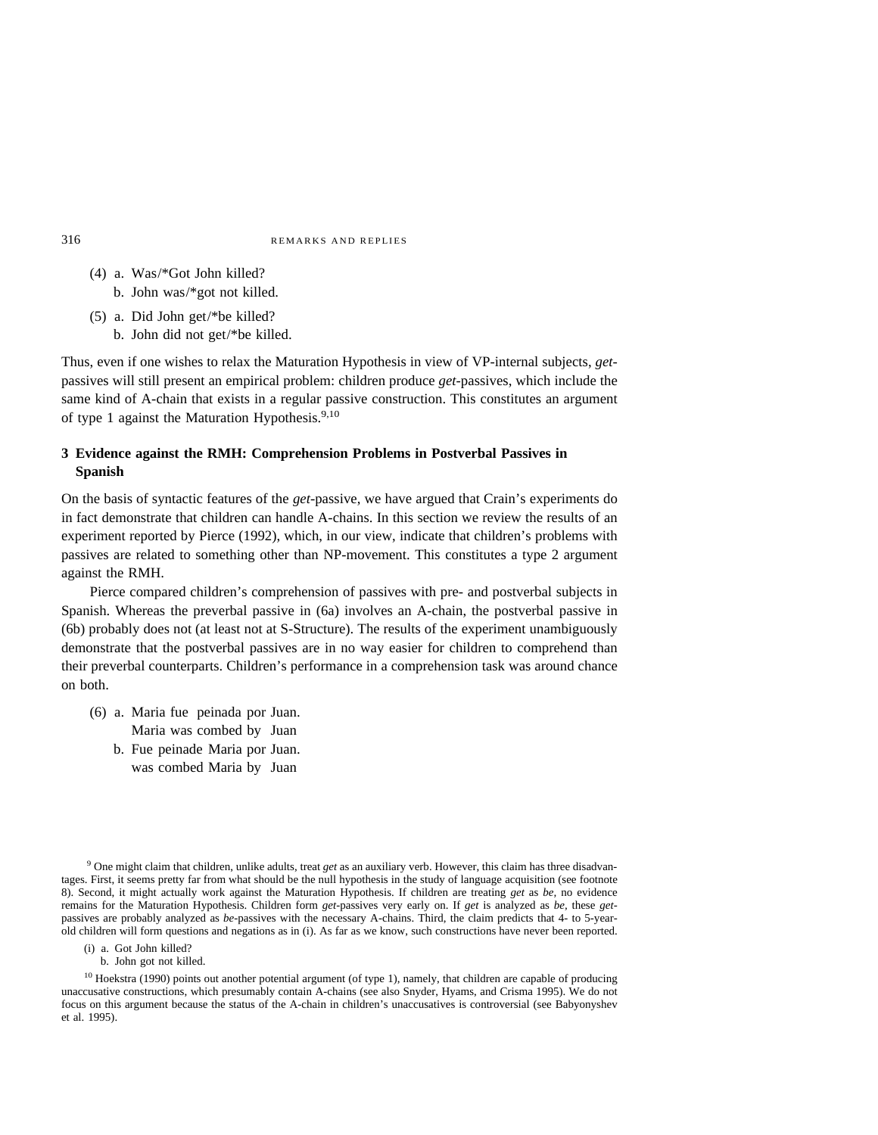- (4) a. Was/\*Got John killed? b. John was/\*got not killed.
- (5) a. Did John get/\*be killed?
	- b. John did not get/\*be killed.

Thus, even if one wishes to relax the Maturation Hypothesis in view of VP-internal subjects, *get*passives will still present an empirical problem: children produce *get-*passives, which include the same kind of A-chain that exists in a regular passive construction. This constitutes an argument of type 1 against the Maturation Hypothesis.<sup>9,10</sup>

# **3 Evidence against the RMH: Comprehension Problems in Postverbal Passives in Spanish**

On the basis of syntactic features of the *get-*passive, we have argued that Crain's experiments do in fact demonstrate that children can handle A-chains. In this section we review the results of an experiment reported by Pierce (1992), which, in our view, indicate that children's problems with passives are related to something other than NP-movement. This constitutes a type 2 argument against the RMH.

Pierce compared children's comprehension of passives with pre- and postverbal subjects in Spanish. Whereas the preverbal passive in (6a) involves an A-chain, the postverbal passive in (6b) probably does not (at least not at S-Structure). The results of the experiment unambiguously demonstrate that the postverbal passives are in no way easier for children to comprehend than their preverbal counterparts. Children's performance in a comprehension task was around chance on both.

- (6) a. Maria fue peinada por Juan. Maria was combed by Juan
	- b. Fue peinade Maria por Juan. was combed Maria by Juan

<sup>9</sup> One might claim that children, unlike adults, treat *get* as an auxiliary verb. However, this claim has three disadvantages. First, it seems pretty far from what should be the null hypothesis in the study of language acquisition (see footnote 8). Second, it might actually work against the Maturation Hypothesis. If children are treating *get* as *be,* no evidence remains for the Maturation Hypothesis. Children form *get-*passives very early on. If *get* is analyzed as *be,* these *get*passives are probably analyzed as *be-*passives with the necessary A-chains. Third, the claim predicts that 4- to 5-yearold children will form questions and negations as in (i). As far as we know, such constructions have never been reported.

(i) a. Got John killed? b. John got not killed.

<sup>10</sup> Hoekstra (1990) points out another potential argument (of type 1), namely, that children are capable of producing unaccusative constructions, which presumably contain A-chains (see also Snyder, Hyams, and Crisma 1995). We do not focus on this argument because the status of the A-chain in children's unaccusatives is controversial (see Babyonyshev et al. 1995).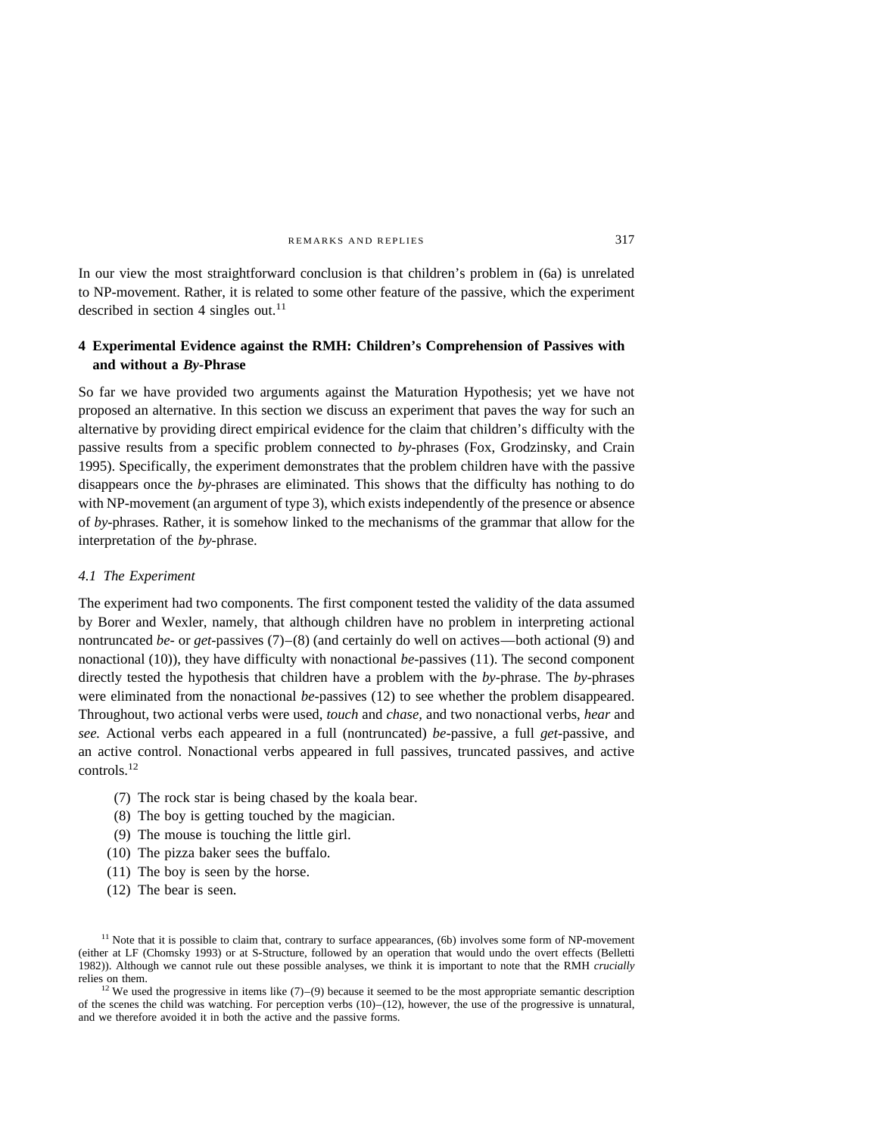In our view the most straightforward conclusion is that children's problem in (6a) is unrelated to NP-movement. Rather, it is related to some other feature of the passive, which the experiment described in section 4 singles out.<sup>11</sup>

# **4 Experimental Evidence against the RMH: Children's Comprehension of Passives with and without a** *By-***Phrase**

So far we have provided two arguments against the Maturation Hypothesis; yet we have not proposed an alternative. In this section we discuss an experiment that paves the way for such an alternative by providing direct empirical evidence for the claim that children's difficulty with the passive results from a specific problem connected to *by-*phrases (Fox, Grodzinsky, and Crain 1995). Specifically, the experiment demonstrates that the problem children have with the passive disappears once the *by-*phrases are eliminated. This shows that the difficulty has nothing to do with NP-movement (an argument of type 3), which exists independently of the presence or absence of *by*-phrases. Rather, it is somehow linked to the mechanisms of the grammar that allow for the interpretation of the *by-*phrase.

# *4.1 The Experiment*

The experiment had two components. The first component tested the validity of the data assumed by Borer and Wexler, namely, that although children have no problem in interpreting actional nontruncated *be-* or *get-*passives (7)–(8) (and certainly do well on actives—both actional (9) and nonactional (10)), they have difficulty with nonactional *be-*passives (11). The second component directly tested the hypothesis that children have a problem with the *by-*phrase. The *by-*phrases were eliminated from the nonactional *be-*passives (12) to see whether the problem disappeared. Throughout, two actional verbs were used, *touch* and *chase,* and two nonactional verbs, *hear* and *see.* Actional verbs each appeared in a full (nontruncated) *be-*passive, a full *get-*passive, and an active control. Nonactional verbs appeared in full passives, truncated passives, and active controls.12

- (7) The rock star is being chased by the koala bear.
- (8) The boy is getting touched by the magician.
- (9) The mouse is touching the little girl.
- (10) The pizza baker sees the buffalo.
- (11) The boy is seen by the horse.
- (12) The bear is seen.

<sup>12</sup> We used the progressive in items like  $(7)$ –(9) because it seemed to be the most appropriate semantic description of the scenes the child was watching. For perception verbs  $(10)$ – $(12)$ , however, the use of the progressive is unnatural, and we therefore avoided it in both the active and the passive forms.

<sup>&</sup>lt;sup>11</sup> Note that it is possible to claim that, contrary to surface appearances, (6b) involves some form of NP-movement (either at LF (Chomsky 1993) or at S-Structure, followed by an operation that would undo the overt effects (Belletti 1982)). Although we cannot rule out these possible analyses, we think it is important to note that the RMH *crucially*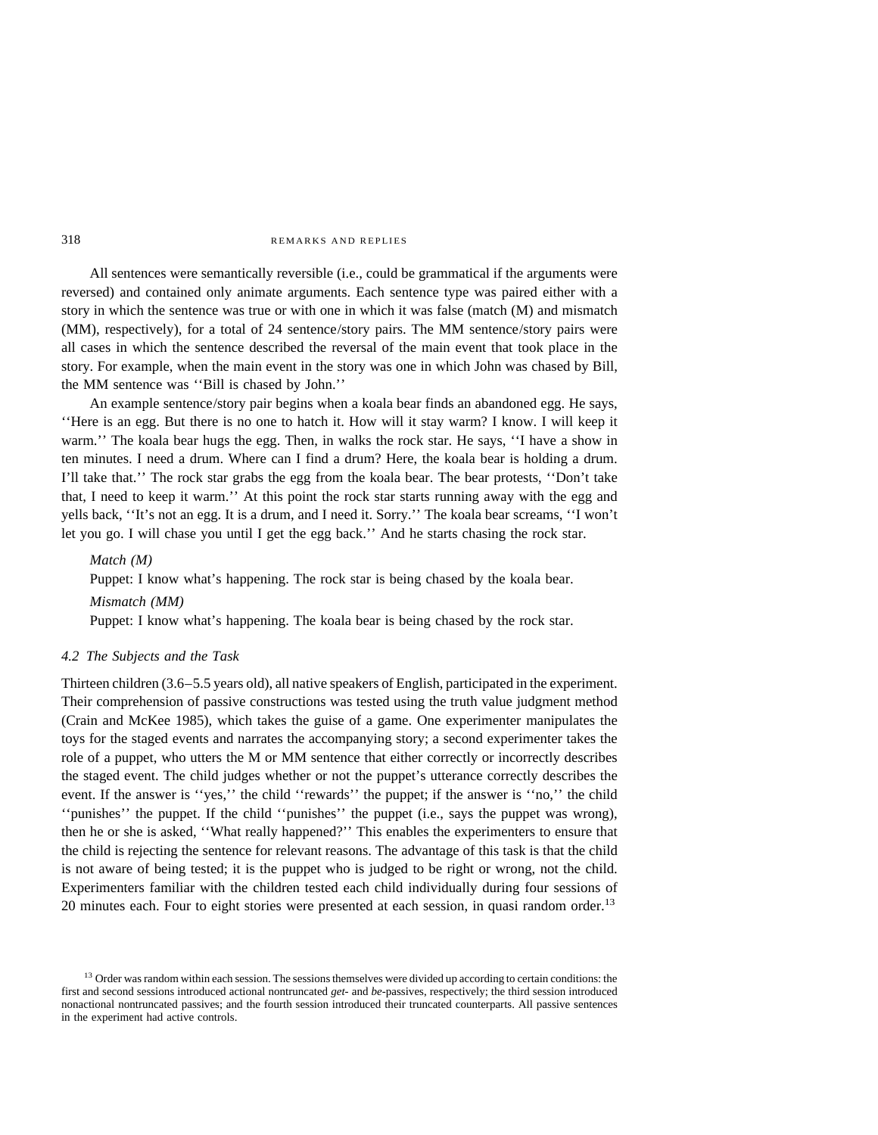All sentences were semantically reversible (i.e., could be grammatical if the arguments were reversed) and contained only animate arguments. Each sentence type was paired either with a story in which the sentence was true or with one in which it was false (match (M) and mismatch (MM), respectively), for a total of 24 sentence/story pairs. The MM sentence/story pairs were all cases in which the sentence described the reversal of the main event that took place in the story. For example, when the main event in the story was one in which John was chased by Bill, the MM sentence was ''Bill is chased by John.''

An example sentence/story pair begins when a koala bear finds an abandoned egg. He says, ''Here is an egg. But there is no one to hatch it. How will it stay warm? I know. I will keep it warm.'' The koala bear hugs the egg. Then, in walks the rock star. He says, ''I have a show in ten minutes. I need a drum. Where can I find a drum? Here, the koala bear is holding a drum. I'll take that.'' The rock star grabs the egg from the koala bear. The bear protests, ''Don't take that, I need to keep it warm.'' At this point the rock star starts running away with the egg and yells back, ''It's not an egg. It is a drum, and I need it. Sorry.'' The koala bear screams, ''I won't let you go. I will chase you until I get the egg back.'' And he starts chasing the rock star.

### *Match (M)*

Puppet: I know what's happening. The rock star is being chased by the koala bear. *Mismatch (MM)*

Puppet: I know what's happening. The koala bear is being chased by the rock star.

# *4.2 The Subjects and the Task*

Thirteen children (3.6–5.5 years old), all native speakers of English, participated in the experiment. Their comprehension of passive constructions was tested using the truth value judgment method (Crain and McKee 1985), which takes the guise of a game. One experimenter manipulates the toys for the staged events and narrates the accompanying story; a second experimenter takes the role of a puppet, who utters the M or MM sentence that either correctly or incorrectly describes the staged event. The child judges whether or not the puppet's utterance correctly describes the event. If the answer is ''yes,'' the child ''rewards'' the puppet; if the answer is ''no,'' the child ''punishes'' the puppet. If the child ''punishes'' the puppet (i.e., says the puppet was wrong), then he or she is asked, ''What really happened?'' This enables the experimenters to ensure that the child is rejecting the sentence for relevant reasons. The advantage of this task is that the child is not aware of being tested; it is the puppet who is judged to be right or wrong, not the child. Experimenters familiar with the children tested each child individually during four sessions of 20 minutes each. Four to eight stories were presented at each session, in quasi random order.<sup>13</sup>

<sup>&</sup>lt;sup>13</sup> Order was random within each session. The sessions themselves were divided up according to certain conditions: the first and second sessions introduced actional nontruncated *get-* and *be-*passives, respectively; the third session introduced nonactional nontruncated passives; and the fourth session introduced their truncated counterparts. All passive sentences in the experiment had active controls.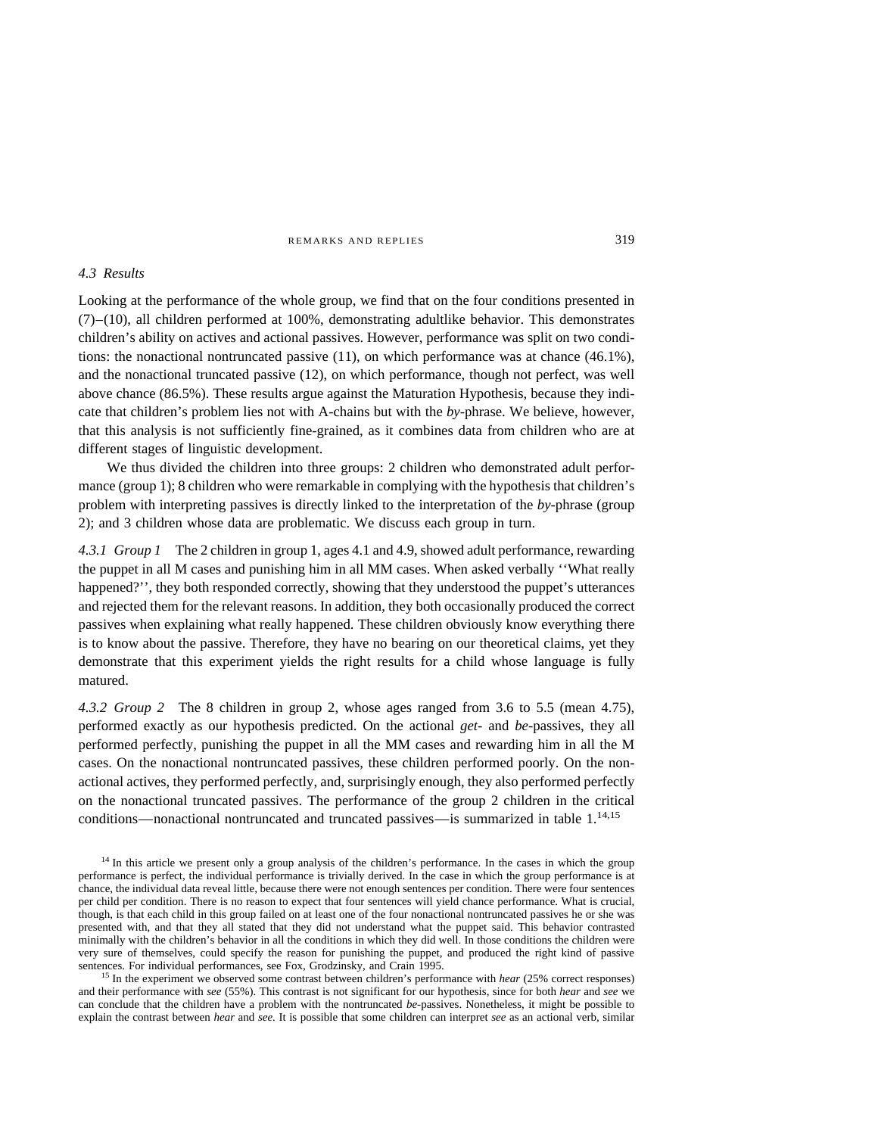### *4.3 Results*

Looking at the performance of the whole group, we find that on the four conditions presented in  $(7)$ –(10), all children performed at 100%, demonstrating adultlike behavior. This demonstrates children's ability on actives and actional passives. However, performance was split on two conditions: the nonactional nontruncated passive (11), on which performance was at chance (46.1%), and the nonactional truncated passive (12), on which performance, though not perfect, was well above chance (86.5%). These results argue against the Maturation Hypothesis, because they indicate that children's problem lies not with A-chains but with the *by-*phrase. We believe, however, that this analysis is not sufficiently fine-grained, as it combines data from children who are at different stages of linguistic development.

We thus divided the children into three groups: 2 children who demonstrated adult performance (group 1); 8 children who were remarkable in complying with the hypothesis that children's problem with interpreting passives is directly linked to the interpretation of the *by*-phrase (group 2); and 3 children whose data are problematic. We discuss each group in turn.

4.3.1 Group 1 The 2 children in group 1, ages 4.1 and 4.9, showed adult performance, rewarding the puppet in all M cases and punishing him in all MM cases. When asked verbally ''What really happened?'', they both responded correctly, showing that they understood the puppet's utterances and rejected them for the relevant reasons. In addition, they both occasionally produced the correct passives when explaining what really happened. These children obviously know everything there is to know about the passive. Therefore, they have no bearing on our theoretical claims, yet they demonstrate that this experiment yields the right results for a child whose language is fully matured.

*4.3.2 Group 2* The 8 children in group 2, whose ages ranged from 3.6 to 5.5 (mean 4.75), performed exactly as our hypothesis predicted. On the actional *get-* and *be-*passives, they all performed perfectly, punishing the puppet in all the MM cases and rewarding him in all the M cases. On the nonactional nontruncated passives, these children performed poorly. On the nonactional actives, they performed perfectly, and, surprisingly enough, they also performed perfectly on the nonactional truncated passives. The performance of the group 2 children in the critical conditions—nonactional nontruncated and truncated passives—is summarized in table 1.<sup>14,15</sup>

<sup>15</sup> In the experiment we observed some contrast between children's performance with *hear* (25% correct responses) and their performance with *see* (55%). This contrast is not significant for our hypothesis, since for both *hear* and *see* we can conclude that the children have a problem with the nontruncated *be-*passives. Nonetheless, it might be possible to explain the contrast between *hear* and *see.* It is possible that some children can interpret *see* as an actional verb, similar

<sup>&</sup>lt;sup>14</sup> In this article we present only a group analysis of the children's performance. In the cases in which the group performance is perfect, the individual performance is trivially derived. In the case in which the group performance is at chance, the individual data reveal little, because there were not enough sentences per condition. There were four sentences per child per condition. There is no reason to expect that four sentences will yield chance performance. What is crucial, though, is that each child in this group failed on at least one of the four nonactional nontruncated passives he or she was presented with, and that they all stated that they did not understand what the puppet said. This behavior contrasted minimally with the children's behavior in all the conditions in which they did well. In those conditions the children were very sure of themselves, could specify the reason for punishing the puppet, and produced the right kind of passive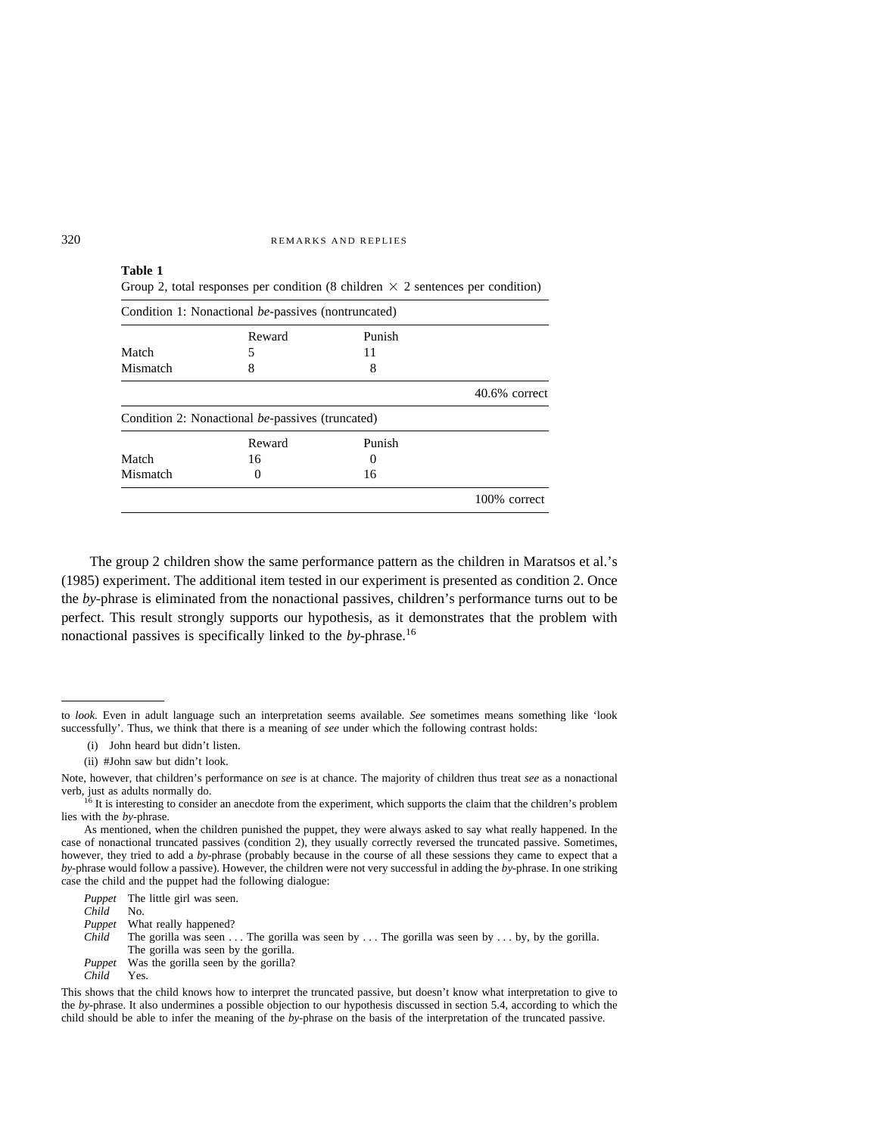# **Table 1** Group 2, total responses per condition (8 children  $\times$  2 sentences per condition)

|                   | Reward                                           | Punish   |                  |
|-------------------|--------------------------------------------------|----------|------------------|
| Match             | 5                                                | 11       |                  |
| Mismatch          | 8                                                | 8        |                  |
|                   |                                                  |          | $40.6\%$ correct |
|                   |                                                  |          |                  |
|                   | Condition 2: Nonactional be-passives (truncated) |          |                  |
|                   | Reward                                           | Punish   |                  |
|                   | 16                                               | $\theta$ |                  |
| Match<br>Mismatch | $\theta$                                         | 16       |                  |

The group 2 children show the same performance pattern as the children in Maratsos et al.'s (1985) experiment. The additional item tested in our experiment is presented as condition 2. Once the *by*-phrase is eliminated from the nonactional passives, children's performance turns out to be perfect. This result strongly supports our hypothesis, as it demonstrates that the problem with nonactional passives is specifically linked to the *by-*phrase.16

(ii) #John saw but didn't look.

*Puppet* The little girl was seen. *Child* No. *Puppet* What really happened?

- *Child* The gorilla was seen . . . The gorilla was seen by . . . The gorilla was seen by . . . by, by the gorilla.
- The gorilla was seen by the gorilla. *Puppet* Was the gorilla seen by the gorilla?<br>*Child* Yes.
- $Child$

to *look.* Even in adult language such an interpretation seems available. *See* sometimes means something like 'look successfully'. Thus, we think that there is a meaning of *see* under which the following contrast holds:

<sup>(</sup>i) John heard but didn't listen.

Note, however, that children's performance on *see* is at chance. The majority of children thus treat *see* as a nonactional

 $^{16}$  It is interesting to consider an anecdote from the experiment, which supports the claim that the children's problem lies with the *by-*phrase.

As mentioned, when the children punished the puppet, they were always asked to say what really happened. In the case of nonactional truncated passives (condition 2), they usually correctly reversed the truncated passive. Sometimes, however, they tried to add a *by-*phrase (probably because in the course of all these sessions they came to expect that a *by-*phrase would follow a passive). However, the children were not very successful in adding the *by*-phrase. In one striking case the child and the puppet had the following dialogue:

This shows that the child knows how to interpret the truncated passive, but doesn't know what interpretation to give to the *by-*phrase. It also undermines a possible objection to our hypothesis discussed in section 5.4, according to which the child should be able to infer the meaning of the *by-*phrase on the basis of the interpretation of the truncated passive.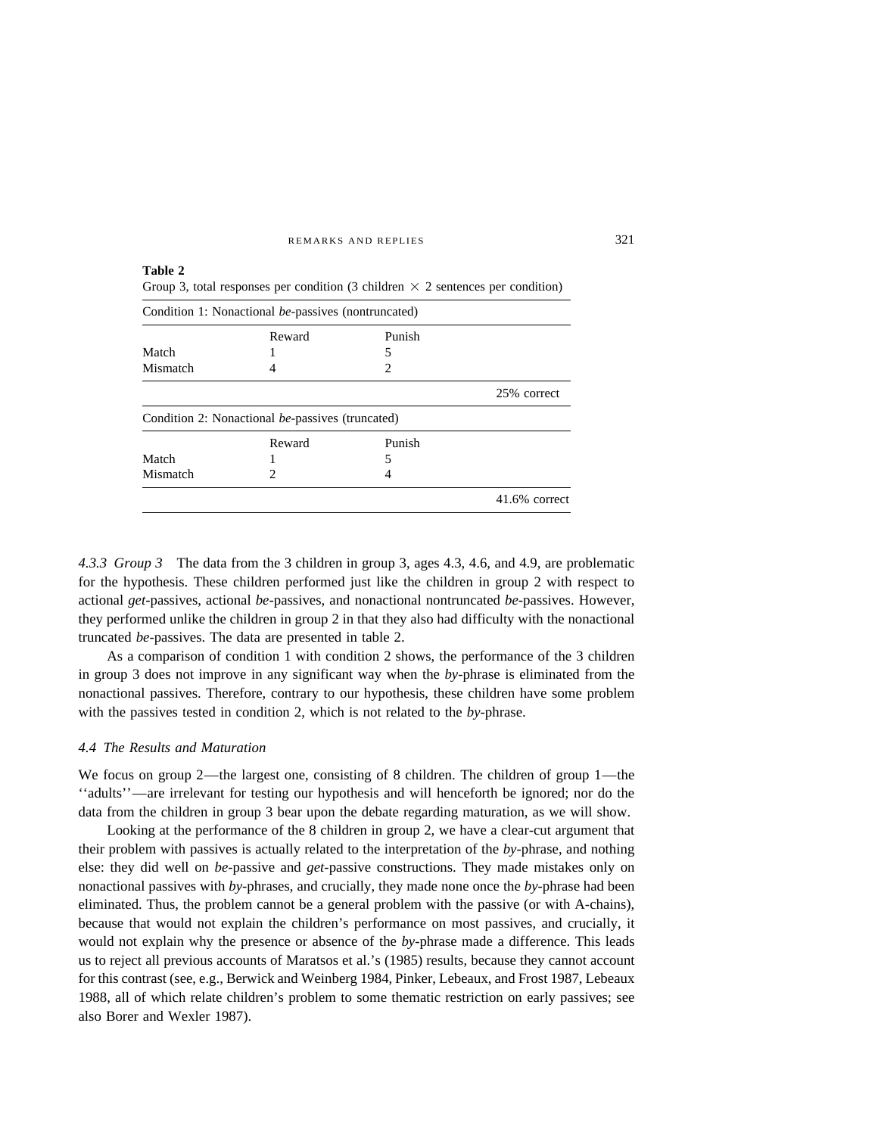| Condition 1: Nonactional be-passives (nontruncated) |                                                  |               |                  |  |  |
|-----------------------------------------------------|--------------------------------------------------|---------------|------------------|--|--|
|                                                     | Reward                                           | Punish        |                  |  |  |
| Match                                               |                                                  | 5             |                  |  |  |
| Mismatch                                            |                                                  | $\mathcal{D}$ |                  |  |  |
|                                                     |                                                  |               | 25% correct      |  |  |
|                                                     | Condition 2: Nonactional be-passives (truncated) |               |                  |  |  |
|                                                     | Reward                                           | Punish        |                  |  |  |
| Match                                               |                                                  | 5             |                  |  |  |
| Mismatch                                            | $\mathfrak{D}$                                   | 4             |                  |  |  |
|                                                     |                                                  |               | $41.6\%$ correct |  |  |

*4.3.3 Group 3* The data from the 3 children in group 3, ages 4.3, 4.6, and 4.9, are problematic for the hypothesis. These children performed just like the children in group 2 with respect to actional *get-*passives, actional *be-*passives, and nonactional nontruncated *be-*passives. However, they performed unlike the children in group 2 in that they also had difficulty with the nonactional truncated *be*-passives. The data are presented in table 2.

As a comparison of condition 1 with condition 2 shows, the performance of the 3 children in group 3 does not improve in any significant way when the *by-*phrase is eliminated from the nonactional passives. Therefore, contrary to our hypothesis, these children have some problem with the passives tested in condition 2, which is not related to the *by*-phrase.

### *4.4 The Results and Maturation*

We focus on group 2—the largest one, consisting of 8 children. The children of group 1—the ''adults''—are irrelevant for testing our hypothesis and will henceforth be ignored; nor do the data from the children in group 3 bear upon the debate regarding maturation, as we will show.

Looking at the performance of the 8 children in group 2, we have a clear-cut argument that their problem with passives is actually related to the interpretation of the *by*-phrase, and nothing else: they did well on *be-*passive and *get-*passive constructions. They made mistakes only on nonactional passives with *by-*phrases, and crucially, they made none once the *by*-phrase had been eliminated. Thus, the problem cannot be a general problem with the passive (or with A-chains), because that would not explain the children's performance on most passives, and crucially, it would not explain why the presence or absence of the *by*-phrase made a difference. This leads us to reject all previous accounts of Maratsos et al.'s (1985) results, because they cannot account for this contrast (see, e.g., Berwick and Weinberg 1984, Pinker, Lebeaux, and Frost 1987, Lebeaux 1988, all of which relate children's problem to some thematic restriction on early passives; see also Borer and Wexler 1987).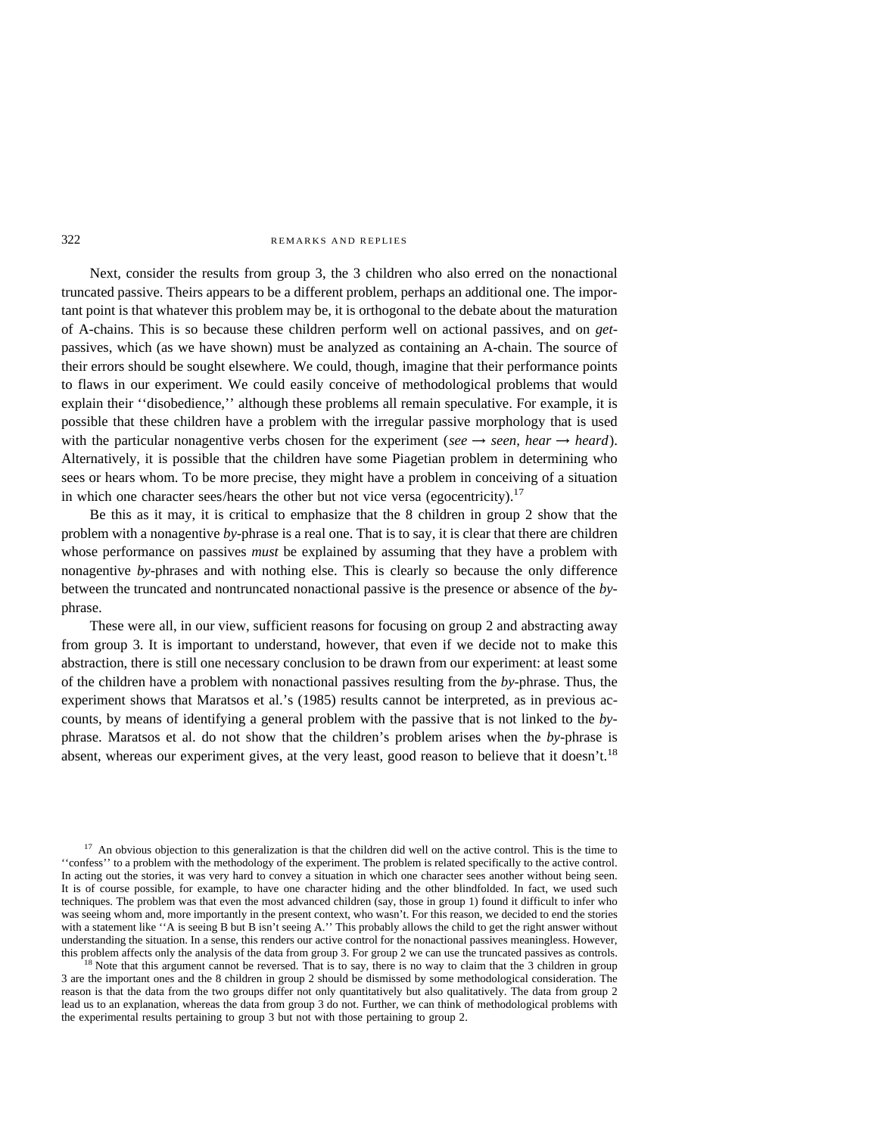Next, consider the results from group 3, the 3 children who also erred on the nonactional truncated passive. Theirs appears to be a different problem, perhaps an additional one. The important point is that whatever this problem may be, it is orthogonal to the debate about the maturation of A-chains. This is so because these children perform well on actional passives, and on *get*passives, which (as we have shown) must be analyzed as containing an A-chain. The source of their errors should be sought elsewhere. We could, though, imagine that their performance points to flaws in our experiment. We could easily conceive of methodological problems that would explain their ''disobedience,'' although these problems all remain speculative. For example, it is possible that these children have a problem with the irregular passive morphology that is used with the particular nonagentive verbs chosen for the experiment (*see*  $\rightarrow$  *seen, hear*  $\rightarrow$  *heard*). Alternatively, it is possible that the children have some Piagetian problem in determining who sees or hears whom. To be more precise, they might have a problem in conceiving of a situation in which one character sees/hears the other but not vice versa (egocentricity).<sup>17</sup>

Be this as it may, it is critical to emphasize that the 8 children in group 2 show that the problem with a nonagentive *by*-phrase is a real one. That is to say, it is clear that there are children whose performance on passives *must* be explained by assuming that they have a problem with nonagentive *by*-phrases and with nothing else. This is clearly so because the only difference between the truncated and nontruncated nonactional passive is the presence or absence of the *by*phrase.

These were all, in our view, sufficient reasons for focusing on group 2 and abstracting away from group 3. It is important to understand, however, that even if we decide not to make this abstraction, there is still one necessary conclusion to be drawn from our experiment: at least some of the children have a problem with nonactional passives resulting from the *by*-phrase. Thus, the experiment shows that Maratsos et al.'s (1985) results cannot be interpreted, as in previous accounts, by means of identifying a general problem with the passive that is not linked to the *by*phrase. Maratsos et al. do not show that the children's problem arises when the *by*-phrase is absent, whereas our experiment gives, at the very least, good reason to believe that it doesn't.<sup>18</sup>

 $17$  An obvious objection to this generalization is that the children did well on the active control. This is the time to ''confess'' to a problem with the methodology of the experiment. The problem is related specifically to the active control. In acting out the stories, it was very hard to convey a situation in which one character sees another without being seen. It is of course possible, for example, to have one character hiding and the other blindfolded. In fact, we used such techniques. The problem was that even the most advanced children (say, those in group 1) found it difficult to infer who was seeing whom and, more importantly in the present context, who wasn't. For this reason, we decided to end the stories with a statement like "A is seeing B but B isn't seeing A." This probably allows the child to get the right answer without understanding the situation. In a sense, this renders our active control for the nonactional passives meaningless. However, this problem affects only the analysis of the data from group 3. For group 2 we can use the trunca

<sup>18</sup> Note that this argument cannot be reversed. That is to say, there is no way to claim that the 3 children in group 3 are the important ones and the 8 children in group 2 should be dismissed by some methodological consideration. The reason is that the data from the two groups differ not only quantitatively but also qualitatively. The data from group 2 lead us to an explanation, whereas the data from group 3 do not. Further, we can think of methodological problems with the experimental results pertaining to group 3 but not with those pertaining to group 2.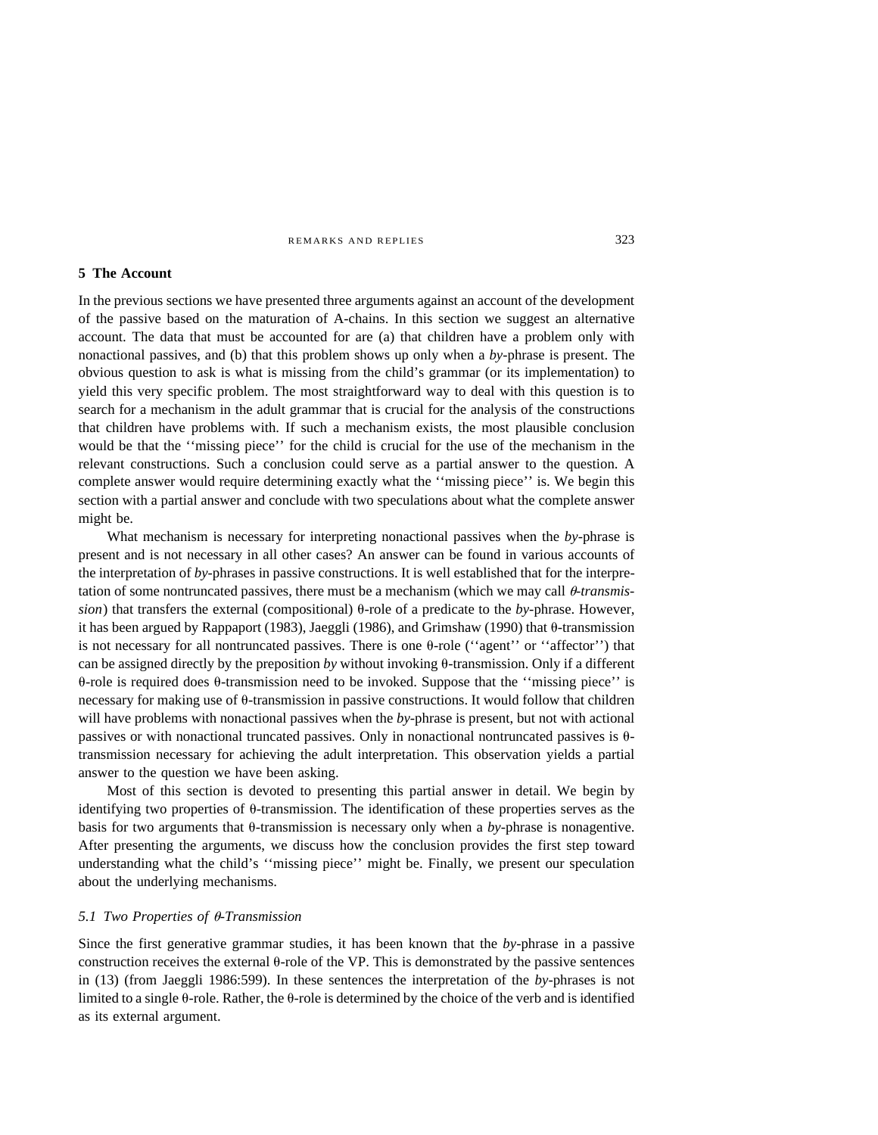#### **5 The Account**

In the previous sections we have presented three arguments against an account of the development of the passive based on the maturation of A-chains. In this section we suggest an alternative account. The data that must be accounted for are (a) that children have a problem only with nonactional passives, and (b) that this problem shows up only when a *by*-phrase is present. The obvious question to ask is what is missing from the child's grammar (or its implementation) to yield this very specific problem. The most straightforward way to deal with this question is to search for a mechanism in the adult grammar that is crucial for the analysis of the constructions that children have problems with. If such a mechanism exists, the most plausible conclusion would be that the ''missing piece'' for the child is crucial for the use of the mechanism in the relevant constructions. Such a conclusion could serve as a partial answer to the question. A complete answer would require determining exactly what the ''missing piece'' is. We begin this section with a partial answer and conclude with two speculations about what the complete answer might be.

What mechanism is necessary for interpreting nonactional passives when the *by-*phrase is present and is not necessary in all other cases? An answer can be found in various accounts of the interpretation of *by-*phrases in passive constructions. It is well established that for the interpretation of some nontruncated passives, there must be a mechanism (which we may call  $\theta$ -transmis $sion$ ) that transfers the external (compositional)  $\theta$ -role of a predicate to the *by*-phrase. However, it has been argued by Rappaport (1983), Jaeggli (1986), and Grimshaw (1990) that  $\theta$ -transmission is not necessary for all nontruncated passives. There is one  $\theta$ -role ("agent" or "affector") that can be assigned directly by the preposition *by* without invoking  $\theta$ -transmission. Only if a different  $\theta$ -role is required does  $\theta$ -transmission need to be invoked. Suppose that the "missing piece" is necessary for making use of  $\theta$ -transmission in passive constructions. It would follow that children will have problems with nonactional passives when the *by*-phrase is present, but not with actional passives or with nonactional truncated passives. Only in nonactional nontruncated passives is  $\theta$ transmission necessary for achieving the adult interpretation. This observation yields a partial answer to the question we have been asking.

Most of this section is devoted to presenting this partial answer in detail. We begin by identifying two properties of  $\theta$ -transmission. The identification of these properties serves as the basis for two arguments that  $\theta$ -transmission is necessary only when a *by*-phrase is nonagentive. After presenting the arguments, we discuss how the conclusion provides the first step toward understanding what the child's ''missing piece'' might be. Finally, we present our speculation about the underlying mechanisms.

# *5.1 Two Properties of θ-Transmission*

Since the first generative grammar studies, it has been known that the *by-*phrase in a passive construction receives the external  $\theta$ -role of the VP. This is demonstrated by the passive sentences in (13) (from Jaeggli 1986:599). In these sentences the interpretation of the *by*-phrases is not limited to a single  $\theta$ -role. Rather, the  $\theta$ -role is determined by the choice of the verb and is identified as its external argument.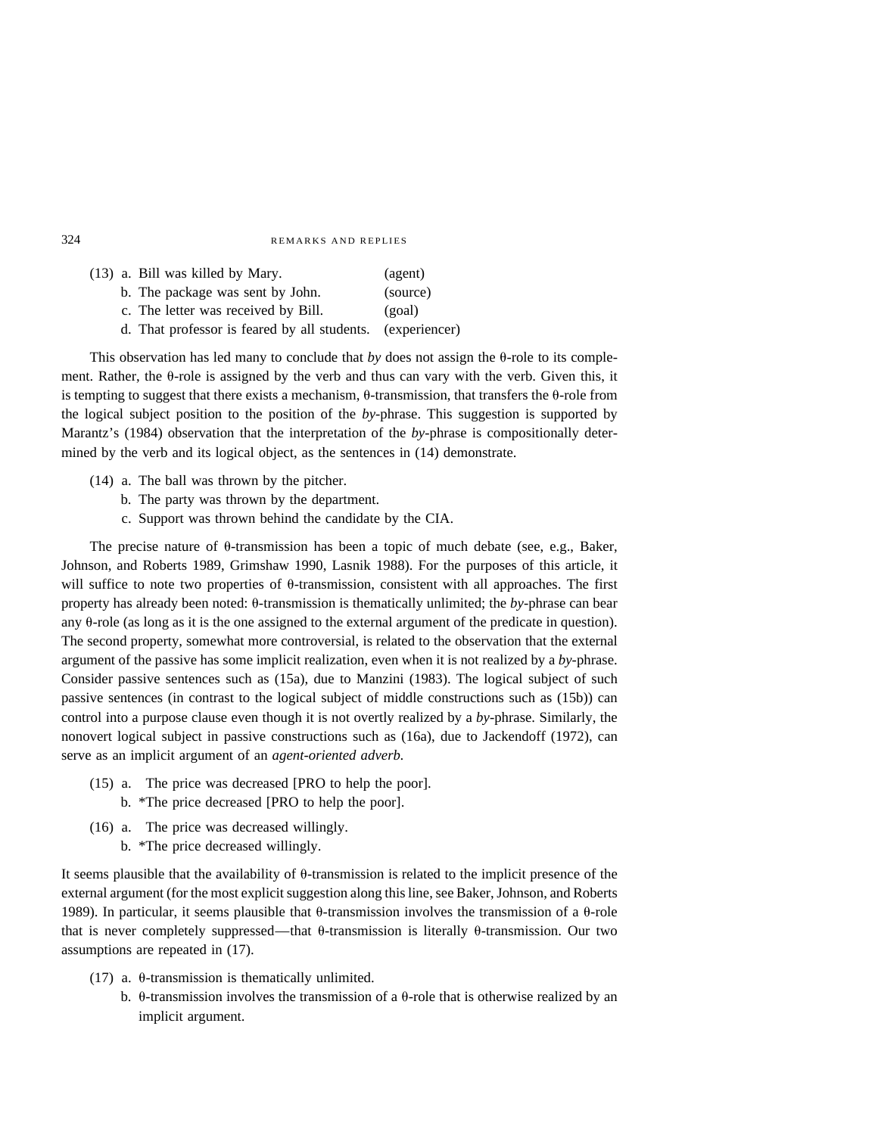| (13) a. Bill was killed by Mary.                           | (agent)  |
|------------------------------------------------------------|----------|
| b. The package was sent by John.                           | (source) |
| c. The letter was received by Bill.                        | (goal)   |
| d. That professor is feared by all students. (experiencer) |          |

This observation has led many to conclude that *by* does not assign the  $\theta$ -role to its complement. Rather, the  $\theta$ -role is assigned by the verb and thus can vary with the verb. Given this, it is tempting to suggest that there exists a mechanism,  $\theta$ -transmission, that transfers the  $\theta$ -role from the logical subject position to the position of the *by-*phrase. This suggestion is supported by Marantz's (1984) observation that the interpretation of the *by-*phrase is compositionally determined by the verb and its logical object, as the sentences in (14) demonstrate.

- (14) a. The ball was thrown by the pitcher.
	- b. The party was thrown by the department.
	- c. Support was thrown behind the candidate by the CIA.

The precise nature of  $\theta$ -transmission has been a topic of much debate (see, e.g., Baker, Johnson, and Roberts 1989, Grimshaw 1990, Lasnik 1988). For the purposes of this article, it will suffice to note two properties of  $\theta$ -transmission, consistent with all approaches. The first property has already been noted:  $\theta$ -transmission is thematically unlimited; the *by*-phrase can bear any  $\theta$ -role (as long as it is the one assigned to the external argument of the predicate in question). The second property, somewhat more controversial, is related to the observation that the external argument of the passive has some implicit realization, even when it is not realized by a *by*-phrase. Consider passive sentences such as (15a), due to Manzini (1983). The logical subject of such passive sentences (in contrast to the logical subject of middle constructions such as (15b)) can control into a purpose clause even though it is not overtly realized by a *by-*phrase. Similarly, the nonovert logical subject in passive constructions such as (16a), due to Jackendoff (1972), can serve as an implicit argument of an *agent-oriented adverb.*

- (15) a. The price was decreased [PRO to help the poor].
	- b. \*The price decreased [PRO to help the poor].
- (16) a. The price was decreased willingly. b. \*The price decreased willingly.

It seems plausible that the availability of  $\theta$ -transmission is related to the implicit presence of the external argument (for the most explicit suggestion along this line, see Baker, Johnson, and Roberts 1989). In particular, it seems plausible that  $\theta$ -transmission involves the transmission of a  $\theta$ -role that is never completely suppressed—that  $\theta$ -transmission is literally  $\theta$ -transmission. Our two assumptions are repeated in (17).

- (17) a.  $\theta$ -transmission is thematically unlimited.
	- b.  $\theta$ -transmission involves the transmission of a  $\theta$ -role that is otherwise realized by an implicit argument.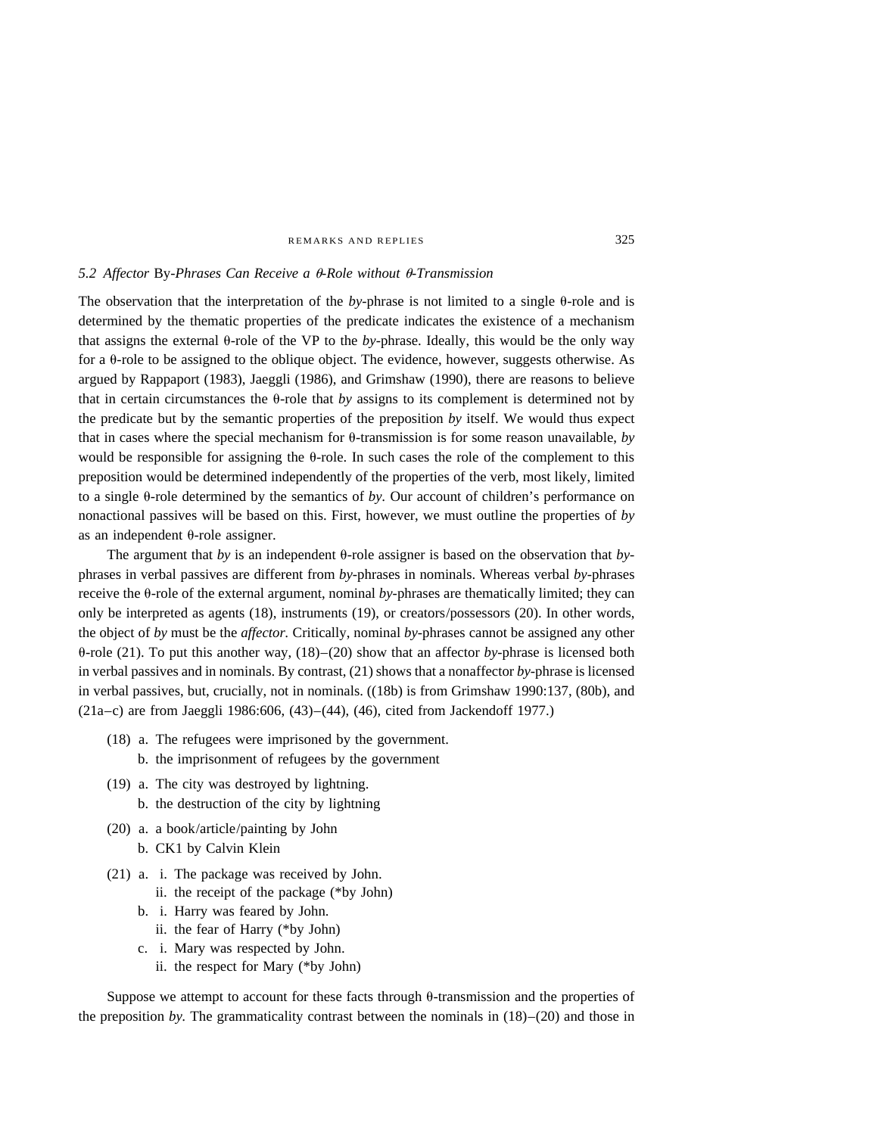# 5.2 Affector By-Phrases Can Receive a θ-Role without θ-Transmission

The observation that the interpretation of the  $by$ -phrase is not limited to a single  $\theta$ -role and is determined by the thematic properties of the predicate indicates the existence of a mechanism that assigns the external  $\theta$ -role of the VP to the *by*-phrase. Ideally, this would be the only way for a  $\theta$ -role to be assigned to the oblique object. The evidence, however, suggests otherwise. As argued by Rappaport (1983), Jaeggli (1986), and Grimshaw (1990), there are reasons to believe that in certain circumstances the  $\theta$ -role that *by* assigns to its complement is determined not by the predicate but by the semantic properties of the preposition *by* itself. We would thus expect that in cases where the special mechanism for  $\theta$ -transmission is for some reason unavailable, *by* would be responsible for assigning the  $\theta$ -role. In such cases the role of the complement to this preposition would be determined independently of the properties of the verb, most likely, limited to a single  $\theta$ -role determined by the semantics of *by*. Our account of children's performance on nonactional passives will be based on this. First, however, we must outline the properties of *by* as an independent  $\theta$ -role assigner.

The argument that *by* is an independent  $\theta$ -role assigner is based on the observation that *by*phrases in verbal passives are different from *by-*phrases in nominals. Whereas verbal *by-*phrases receive the  $\theta$ -role of the external argument, nominal *by*-phrases are thematically limited; they can only be interpreted as agents (18), instruments (19), or creators/possessors (20). In other words, the object of *by* must be the *affector.* Critically, nominal *by-*phrases cannot be assigned any other  $\theta$ -role (21). To put this another way, (18)–(20) show that an affector *by*-phrase is licensed both in verbal passives and in nominals. By contrast, (21) shows that a nonaffector *by-*phrase is licensed in verbal passives, but, crucially, not in nominals. ((18b) is from Grimshaw 1990:137, (80b), and (21a–c) are from Jaeggli 1986:606, (43)–(44), (46), cited from Jackendoff 1977.)

- (18) a. The refugees were imprisoned by the government.
	- b. the imprisonment of refugees by the government
- (19) a. The city was destroyed by lightning. b. the destruction of the city by lightning
- (20) a. a book/article/painting by John b. CK1 by Calvin Klein
- (21) a. i. The package was received by John.
	- ii. the receipt of the package (\*by John)
	- b. i. Harry was feared by John.
		- ii. the fear of Harry (\*by John)
	- c. i. Mary was respected by John.
		- ii. the respect for Mary (\*by John)

Suppose we attempt to account for these facts through  $\theta$ -transmission and the properties of the preposition *by*. The grammaticality contrast between the nominals in  $(18)$ – $(20)$  and those in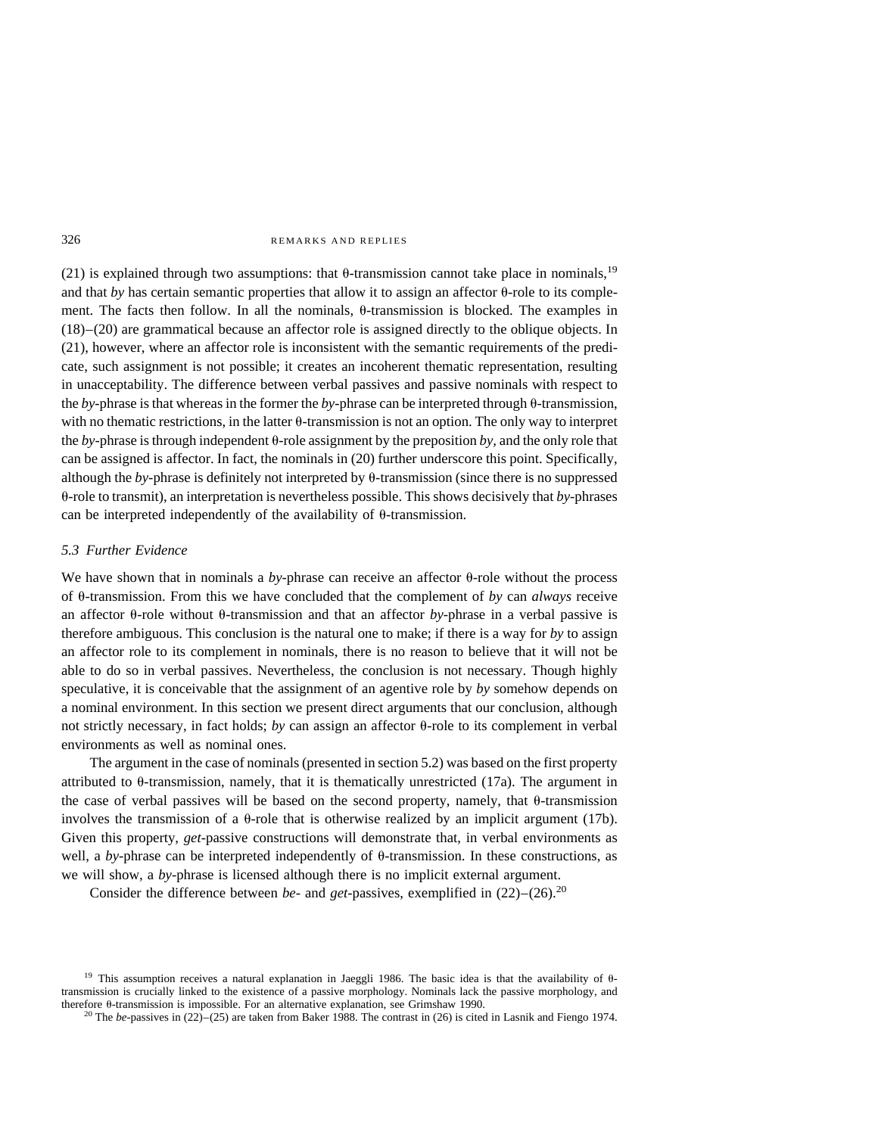(21) is explained through two assumptions: that  $\theta$ -transmission cannot take place in nominals,<sup>19</sup> and that *by* has certain semantic properties that allow it to assign an affector  $\theta$ -role to its complement. The facts then follow. In all the nominals,  $\theta$ -transmission is blocked. The examples in (18)–(20) are grammatical because an affector role is assigned directly to the oblique objects. In (21), however, where an affector role is inconsistent with the semantic requirements of the predicate, such assignment is not possible; it creates an incoherent thematic representation, resulting in unacceptability. The difference between verbal passives and passive nominals with respect to the  $by$ -phrase is that whereas in the former the  $by$ -phrase can be interpreted through  $\theta$ -transmission, with no thematic restrictions, in the latter  $\theta$ -transmission is not an option. The only way to interpret the *by*-phrase is through independent  $\theta$ -role assignment by the preposition *by*, and the only role that can be assigned is affector. In fact, the nominals in (20) further underscore this point. Specifically, although the *by*-phrase is definitely not interpreted by  $\theta$ -transmission (since there is no suppressed u-role to transmit), an interpretation is nevertheless possible. This shows decisively that *by*-phrases can be interpreted independently of the availability of  $\theta$ -transmission.

# *5.3 Further Evidence*

We have shown that in nominals a *by*-phrase can receive an affector  $\theta$ -role without the process of  $\theta$ -transmission. From this we have concluded that the complement of *by* can *always* receive an affector  $\theta$ -role without  $\theta$ -transmission and that an affector *by*-phrase in a verbal passive is therefore ambiguous. This conclusion is the natural one to make; if there is a way for *by* to assign an affector role to its complement in nominals, there is no reason to believe that it will not be able to do so in verbal passives. Nevertheless, the conclusion is not necessary. Though highly speculative, it is conceivable that the assignment of an agentive role by *by* somehow depends on a nominal environment. In this section we present direct arguments that our conclusion, although not strictly necessary, in fact holds; *by* can assign an affector  $\theta$ -role to its complement in verbal environments as well as nominal ones.

The argument in the case of nominals (presented in section 5.2) was based on the first property attributed to  $\theta$ -transmission, namely, that it is thematically unrestricted (17a). The argument in the case of verbal passives will be based on the second property, namely, that  $\theta$ -transmission involves the transmission of a  $\theta$ -role that is otherwise realized by an implicit argument (17b). Given this property, *get-*passive constructions will demonstrate that, in verbal environments as well, a *by*-phrase can be interpreted independently of  $\theta$ -transmission. In these constructions, as we will show, a *by*-phrase is licensed although there is no implicit external argument.

Consider the difference between *be*- and *get*-passives, exemplified in  $(22)$ – $(26)$ .<sup>20</sup>

<sup>&</sup>lt;sup>19</sup> This assumption receives a natural explanation in Jaeggli 1986. The basic idea is that the availability of  $\theta$ transmission is crucially linked to the existence of a passive morphology. Nominals lack the passive morphology, and therefore 0-transmission is impossible. For an alternative explanation, see Grimshaw 1990.<br><sup>20</sup> The *be*-passives in (22)–(25) are taken from Baker 1988. The contrast in (26) is cited in Lasnik and Fiengo 1974.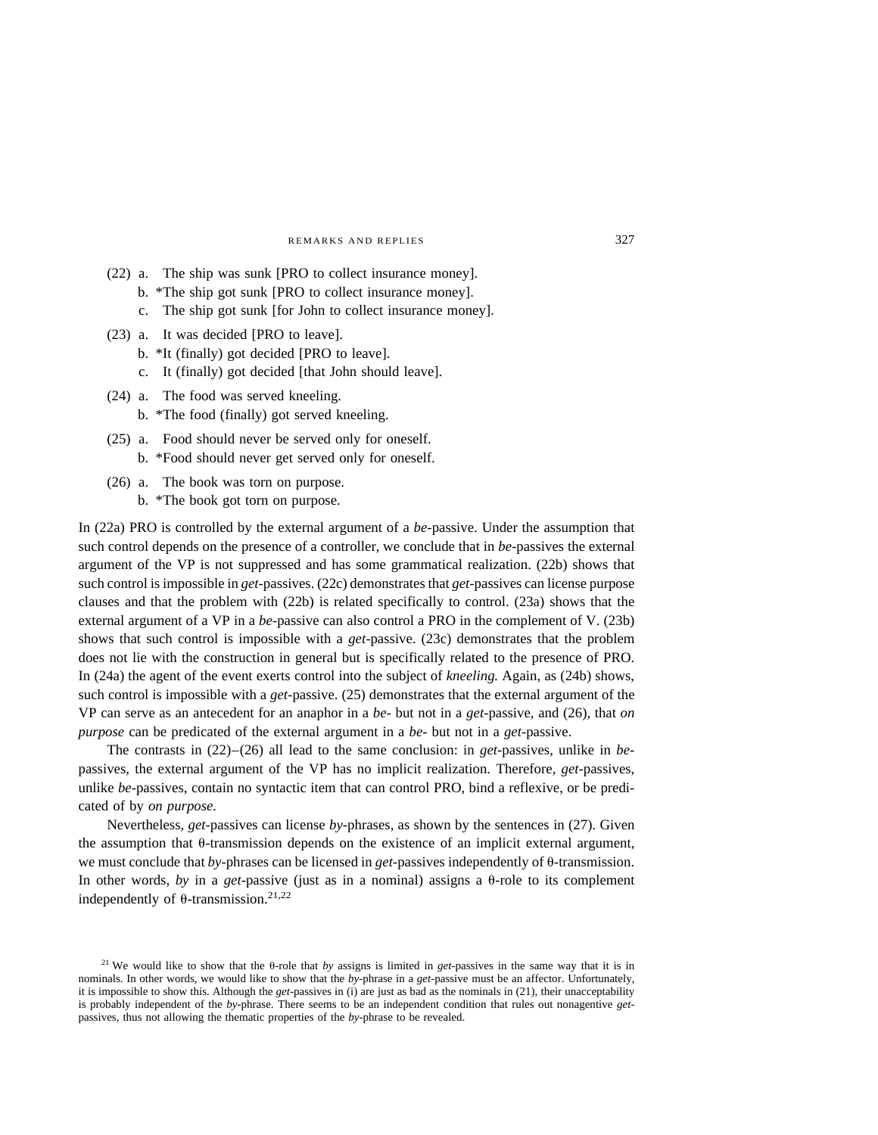- (22) a. The ship was sunk [PRO to collect insurance money]. b. \*The ship got sunk [PRO to collect insurance money]. c. The ship got sunk [for John to collect insurance money].
- (23) a. It was decided [PRO to leave].
	- b. \*It (finally) got decided [PRO to leave].
	- c. It (finally) got decided [that John should leave].
- (24) a. The food was served kneeling. b. \*The food (finally) got served kneeling.
- (25) a. Food should never be served only for oneself. b. \*Food should never get served only for oneself.
- (26) a. The book was torn on purpose. b. \*The book got torn on purpose.

In (22a) PRO is controlled by the external argument of a *be*-passive. Under the assumption that such control depends on the presence of a controller, we conclude that in *be*-passives the external argument of the VP is not suppressed and has some grammatical realization. (22b) shows that such control is impossible in *get-*passives. (22c) demonstrates that *get-*passives can license purpose clauses and that the problem with (22b) is related specifically to control. (23a) shows that the external argument of a VP in a *be*-passive can also control a PRO in the complement of V. (23b) shows that such control is impossible with a *get-*passive. (23c) demonstrates that the problem does not lie with the construction in general but is specifically related to the presence of PRO. In (24a) the agent of the event exerts control into the subject of *kneeling.* Again, as (24b) shows, such control is impossible with a *get-*passive. (25) demonstrates that the external argument of the VP can serve as an antecedent for an anaphor in a *be-* but not in a *get*-passive, and (26), that *on purpose* can be predicated of the external argument in a *be-* but not in a *get-*passive.

The contrasts in (22)–(26) all lead to the same conclusion: in *get-*passives, unlike in *be*passives, the external argument of the VP has no implicit realization. Therefore, *get-*passives, unlike *be*-passives, contain no syntactic item that can control PRO, bind a reflexive, or be predicated of by *on purpose.*

Nevertheless, *get*-passives can license *by*-phrases, as shown by the sentences in (27). Given the assumption that  $\theta$ -transmission depends on the existence of an implicit external argument, we must conclude that *by*-phrases can be licensed in *get*-passives independently of  $\theta$ -transmission. In other words, *by* in a *get*-passive (just as in a nominal) assigns a  $\theta$ -role to its complement independently of  $\theta$ -transmission.<sup>21,22</sup>

<sup>&</sup>lt;sup>21</sup> We would like to show that the  $\theta$ -role that *by* assigns is limited in *get*-passives in the same way that it is in nominals. In other words, we would like to show that the *by-*phrase in a *get-*passive must be an affector. Unfortunately, it is impossible to show this. Although the *get-*passives in (i) are just as bad as the nominals in (21), their unacceptability is probably independent of the *by*-phrase. There seems to be an independent condition that rules out nonagentive *get*passives, thus not allowing the thematic properties of the *by*-phrase to be revealed.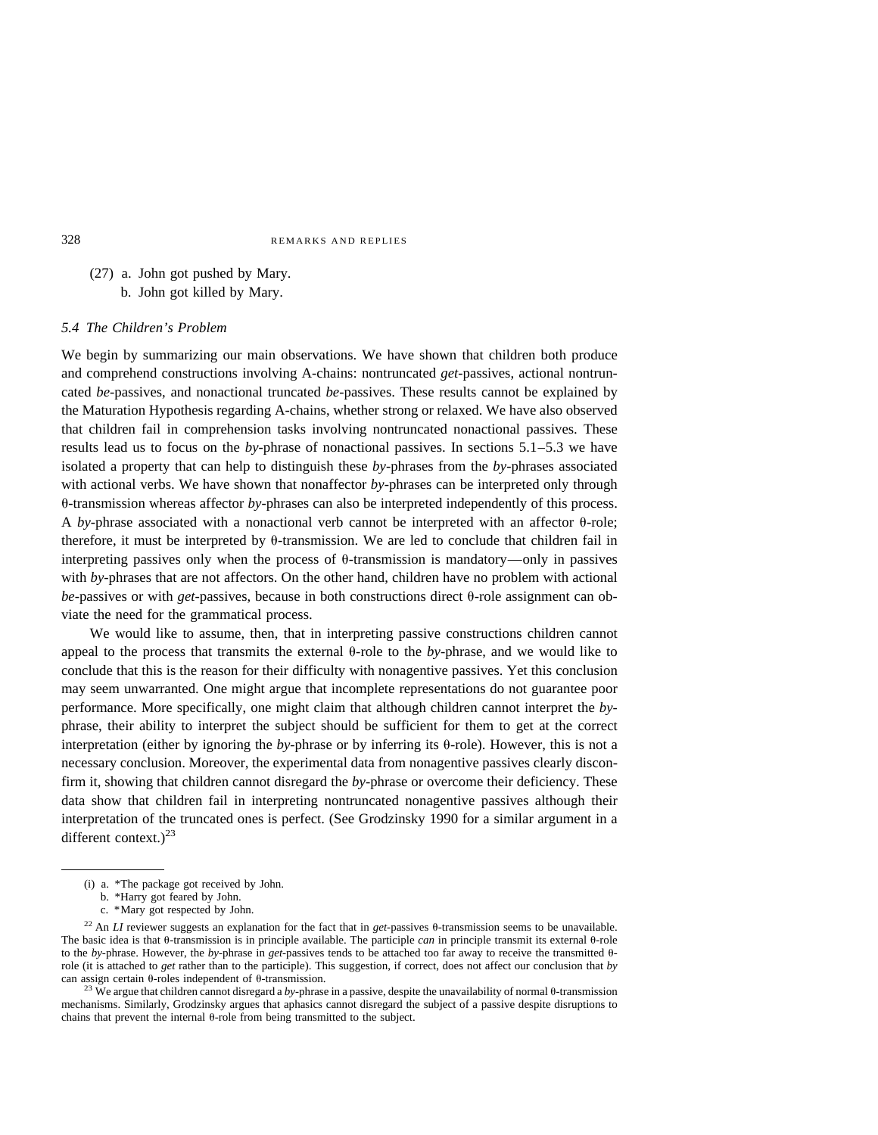# (27) a. John got pushed by Mary. b. John got killed by Mary.

### *5.4 The Children's Problem*

We begin by summarizing our main observations. We have shown that children both produce and comprehend constructions involving A-chains: nontruncated *get-*passives, actional nontruncated *be-*passives, and nonactional truncated *be-*passives. These results cannot be explained by the Maturation Hypothesis regarding A-chains, whether strong or relaxed. We have also observed that children fail in comprehension tasks involving nontruncated nonactional passives. These results lead us to focus on the *by-*phrase of nonactional passives. In sections 5.1–5.3 we have isolated a property that can help to distinguish these *by*-phrases from the *by-*phrases associated with actional verbs. We have shown that nonaffector *by*-phrases can be interpreted only through u-transmission whereas affector *by*-phrases can also be interpreted independently of this process. A *by*-phrase associated with a nonactional verb cannot be interpreted with an affector  $\theta$ -role; therefore, it must be interpreted by  $\theta$ -transmission. We are led to conclude that children fail in interpreting passives only when the process of  $\theta$ -transmission is mandatory—only in passives with *by-*phrases that are not affectors. On the other hand, children have no problem with actional  $be$ -passives or with *get*-passives, because in both constructions direct  $\theta$ -role assignment can obviate the need for the grammatical process.

We would like to assume, then, that in interpreting passive constructions children cannot appeal to the process that transmits the external  $\theta$ -role to the *by*-phrase, and we would like to conclude that this is the reason for their difficulty with nonagentive passives. Yet this conclusion may seem unwarranted. One might argue that incomplete representations do not guarantee poor performance. More specifically, one might claim that although children cannot interpret the *by*phrase, their ability to interpret the subject should be sufficient for them to get at the correct interpretation (either by ignoring the  $by$ -phrase or by inferring its  $\theta$ -role). However, this is not a necessary conclusion. Moreover, the experimental data from nonagentive passives clearly disconfirm it, showing that children cannot disregard the *by*-phrase or overcome their deficiency. These data show that children fail in interpreting nontruncated nonagentive passives although their interpretation of the truncated ones is perfect. (See Grodzinsky 1990 for a similar argument in a different context.) $^{23}$ 

<sup>(</sup>i) a. \*The package got received by John.

b. \*Harry got feared by John.

c. \*Mary got respected by John.

<sup>&</sup>lt;sup>22</sup> An *LI* reviewer suggests an explanation for the fact that in *get*-passives  $\theta$ -transmission seems to be unavailable. The basic idea is that  $\theta$ -transmission is in principle available. The participle *can* in principle transmit its external  $\theta$ -role to the *by*-phrase. However, the *by*-phrase in *get*-passives tends to be attached too far away to receive the transmitted  $\theta$ role (it is attached to *get* rather than to the participle). This suggestion, if correct, does not affect our conclusion that *by* can assign certain  $\theta$ -roles independent of  $\theta$ -transmission.<br><sup>23</sup> We argue that children cannot disregard a *by*-phrase in a passive, despite the unavailability of normal  $\theta$ -transmission

mechanisms. Similarly, Grodzinsky argues that aphasics cannot disregard the subject of a passive despite disruptions to chains that prevent the internal  $\theta$ -role from being transmitted to the subject.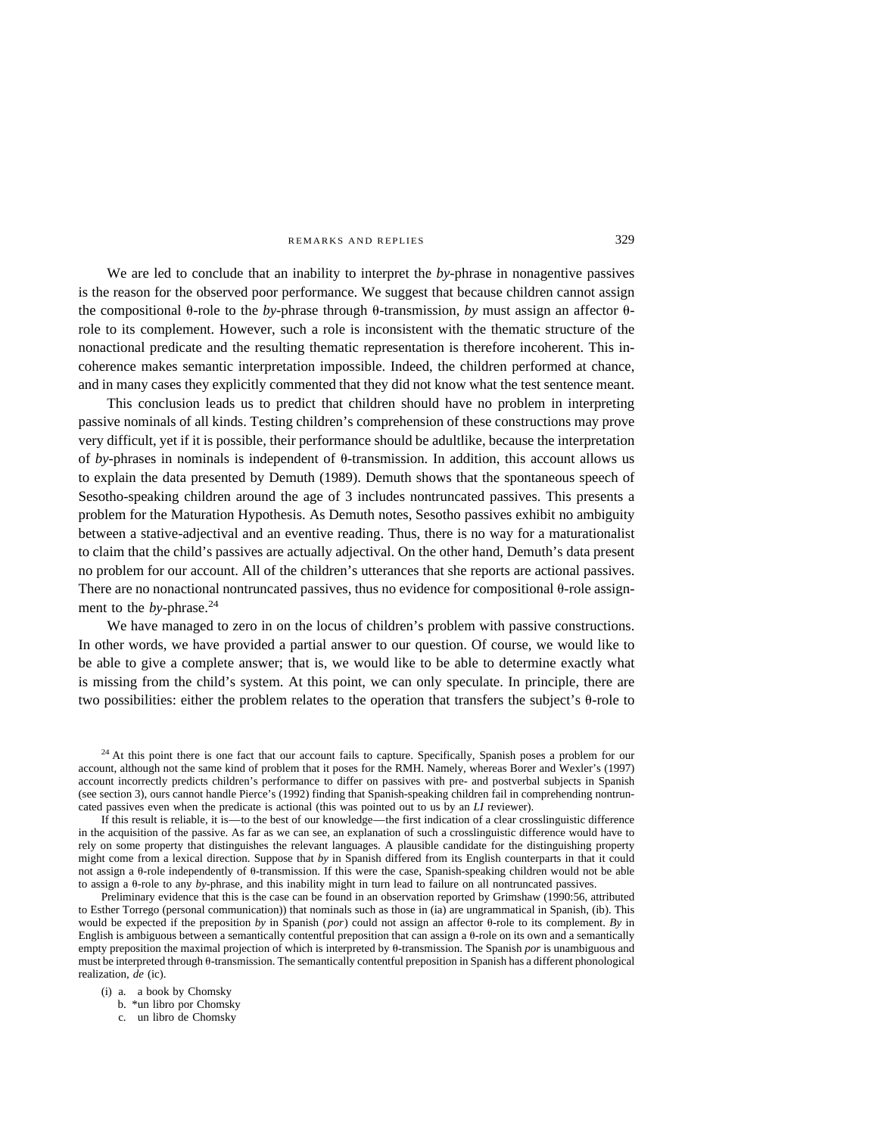We are led to conclude that an inability to interpret the *by*-phrase in nonagentive passives is the reason for the observed poor performance. We suggest that because children cannot assign the compositional  $\theta$ -role to the *by*-phrase through  $\theta$ -transmission, *by* must assign an affector  $\theta$ role to its complement. However, such a role is inconsistent with the thematic structure of the nonactional predicate and the resulting thematic representation is therefore incoherent. This incoherence makes semantic interpretation impossible. Indeed, the children performed at chance, and in many cases they explicitly commented that they did not know what the test sentence meant.

This conclusion leads us to predict that children should have no problem in interpreting passive nominals of all kinds. Testing children's comprehension of these constructions may prove very difficult, yet if it is possible, their performance should be adultlike, because the interpretation of  $by$ -phrases in nominals is independent of  $\theta$ -transmission. In addition, this account allows us to explain the data presented by Demuth (1989). Demuth shows that the spontaneous speech of Sesotho-speaking children around the age of 3 includes nontruncated passives. This presents a problem for the Maturation Hypothesis. As Demuth notes, Sesotho passives exhibit no ambiguity between a stative-adjectival and an eventive reading. Thus, there is no way for a maturationalist to claim that the child's passives are actually adjectival. On the other hand, Demuth's data present no problem for our account. All of the children's utterances that she reports are actional passives. There are no nonactional nontruncated passives, thus no evidence for compositional  $\theta$ -role assignment to the *by*-phrase.<sup>24</sup>

We have managed to zero in on the locus of children's problem with passive constructions. In other words, we have provided a partial answer to our question. Of course, we would like to be able to give a complete answer; that is, we would like to be able to determine exactly what is missing from the child's system. At this point, we can only speculate. In principle, there are two possibilities: either the problem relates to the operation that transfers the subject's  $\theta$ -role to

<sup>24</sup> At this point there is one fact that our account fails to capture. Specifically, Spanish poses a problem for our account, although not the same kind of problem that it poses for the RMH. Namely, whereas Borer and Wexler's (1997) account incorrectly predicts children's performance to differ on passives with pre- and postverbal subjects in Spanish (see section 3), ours cannot handle Pierce's (1992) finding that Spanish-speaking children fail in comprehending nontruncated passives even when the predicate is actional (this was pointed out to us by an *LI* reviewer).

If this result is reliable, it is—to the best of our knowledge—the first indication of a clear crosslinguistic difference in the acquisition of the passive. As far as we can see, an explanation of such a crosslinguistic difference would have to rely on some property that distinguishes the relevant languages. A plausible candidate for the distinguishing property might come from a lexical direction. Suppose that *by* in Spanish differed from its English counterparts in that it could not assign a  $\theta$ -role independently of  $\theta$ -transmission. If this were the case, Spanish-speaking children would not be able to assign a θ-role to any *by*-phrase, and this inability might in turn lead to failure on all nontruncated passives.

Preliminary evidence that this is the case can be found in an observation reported by Grimshaw (1990:56, attributed to Esther Torrego (personal communication)) that nominals such as those in (ia) are ungrammatical in Spanish, (ib). This would be expected if the preposition by in Spanish ( $por$ ) could not assign an affector  $\theta$ -role to its complement. By in English is ambiguous between a semantically contentful preposition that can assign a  $\theta$ -role on its own and a semantically empty preposition the maximal projection of which is interpreted by  $\theta$ -transmission. The Spanish *por* is unambiguous and must be interpreted through  $\theta$ -transmission. The semantically contentful preposition in Spanish has a different phonological realization, *de* (ic).

(i) a. a book by Chomsky

b. \*un libro por Chomsky

c. un libro de Chomsky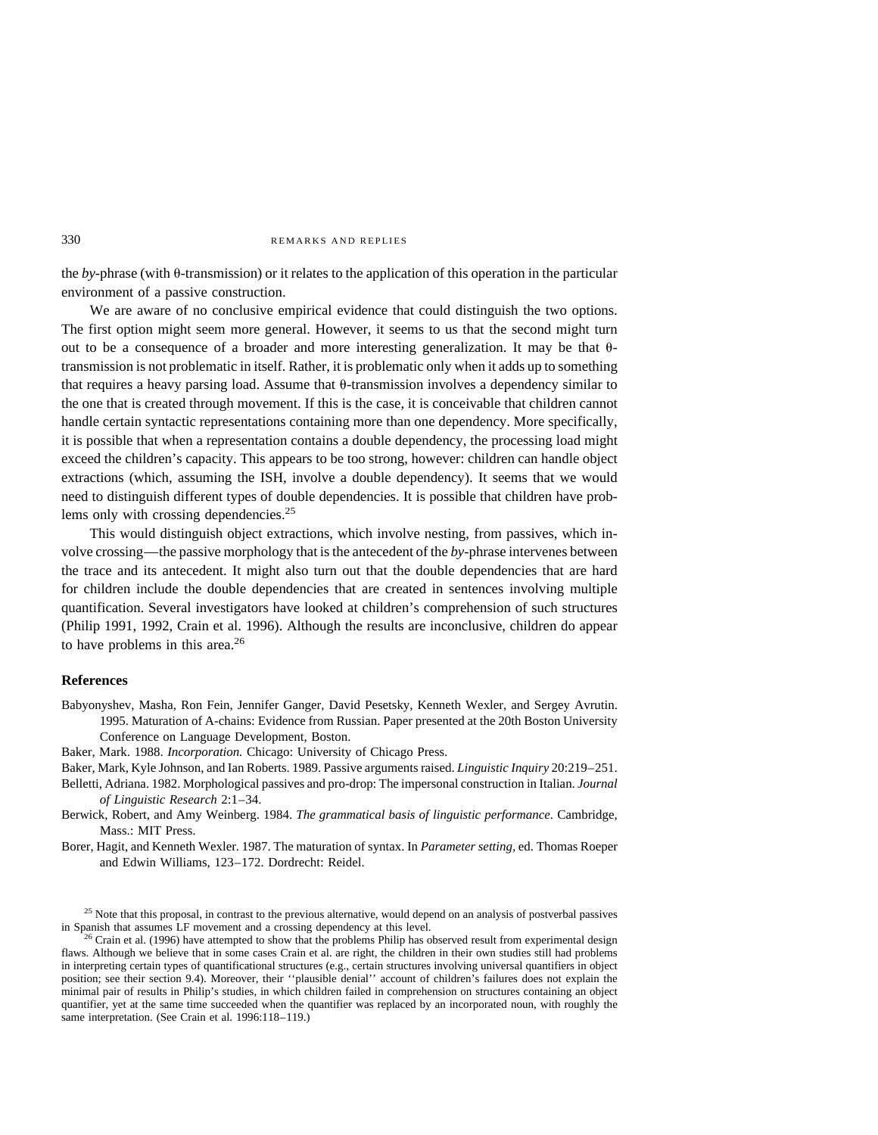the *by*-phrase (with  $\theta$ -transmission) or it relates to the application of this operation in the particular environment of a passive construction.

We are aware of no conclusive empirical evidence that could distinguish the two options. The first option might seem more general. However, it seems to us that the second might turn out to be a consequence of a broader and more interesting generalization. It may be that  $\theta$ transmission is not problematic in itself. Rather, it is problematic only when it adds up to something that requires a heavy parsing load. Assume that  $\theta$ -transmission involves a dependency similar to the one that is created through movement. If this is the case, it is conceivable that children cannot handle certain syntactic representations containing more than one dependency. More specifically, it is possible that when a representation contains a double dependency, the processing load might exceed the children's capacity. This appears to be too strong, however: children can handle object extractions (which, assuming the ISH, involve a double dependency). It seems that we would need to distinguish different types of double dependencies. It is possible that children have problems only with crossing dependencies.<sup>25</sup>

This would distinguish object extractions, which involve nesting, from passives, which involve crossing—the passive morphology that is the antecedent of the *by-*phrase intervenes between the trace and its antecedent. It might also turn out that the double dependencies that are hard for children include the double dependencies that are created in sentences involving multiple quantification. Several investigators have looked at children's comprehension of such structures (Philip 1991, 1992, Crain et al. 1996). Although the results are inconclusive, children do appear to have problems in this area. $^{26}$ 

#### **References**

- Babyonyshev, Masha, Ron Fein, Jennifer Ganger, David Pesetsky, Kenneth Wexler, and Sergey Avrutin. 1995. Maturation of A-chains: Evidence from Russian. Paper presented at the 20th Boston University Conference on Language Development, Boston.
- Baker, Mark. 1988. *Incorporation.* Chicago: University of Chicago Press.
- Baker, Mark, Kyle Johnson, and Ian Roberts. 1989. Passive arguments raised. *Linguistic Inquiry* 20:219–251.
- Belletti, Adriana. 1982. Morphological passives and pro-drop: The impersonal construction in Italian. *Journal of Linguistic Research* 2:1–34.
- Berwick, Robert, and Amy Weinberg. 1984. *The grammatical basis of linguistic performance.* Cambridge, Mass.: MIT Press.
- Borer, Hagit, and Kenneth Wexler. 1987. The maturation of syntax. In *Parameter setting,* ed. Thomas Roeper and Edwin Williams, 123–172. Dordrecht: Reidel.

<sup>&</sup>lt;sup>25</sup> Note that this proposal, in contrast to the previous alternative, would depend on an analysis of postverbal passives in Spanish that assumes LF movement and a crossing dependency at this level.<br><sup>26</sup> Crain et al. (1996) have attempted to show that the problems Philip has observed result from experimental design

flaws. Although we believe that in some cases Crain et al. are right, the children in their own studies still had problems in interpreting certain types of quantificational structures (e.g., certain structures involving universal quantifiers in object position; see their section 9.4). Moreover, their ''plausible denial'' account of children's failures does not explain the minimal pair of results in Philip's studies, in which children failed in comprehension on structures containing an object quantifier, yet at the same time succeeded when the quantifier was replaced by an incorporated noun, with roughly the same interpretation. (See Crain et al. 1996:118–119.)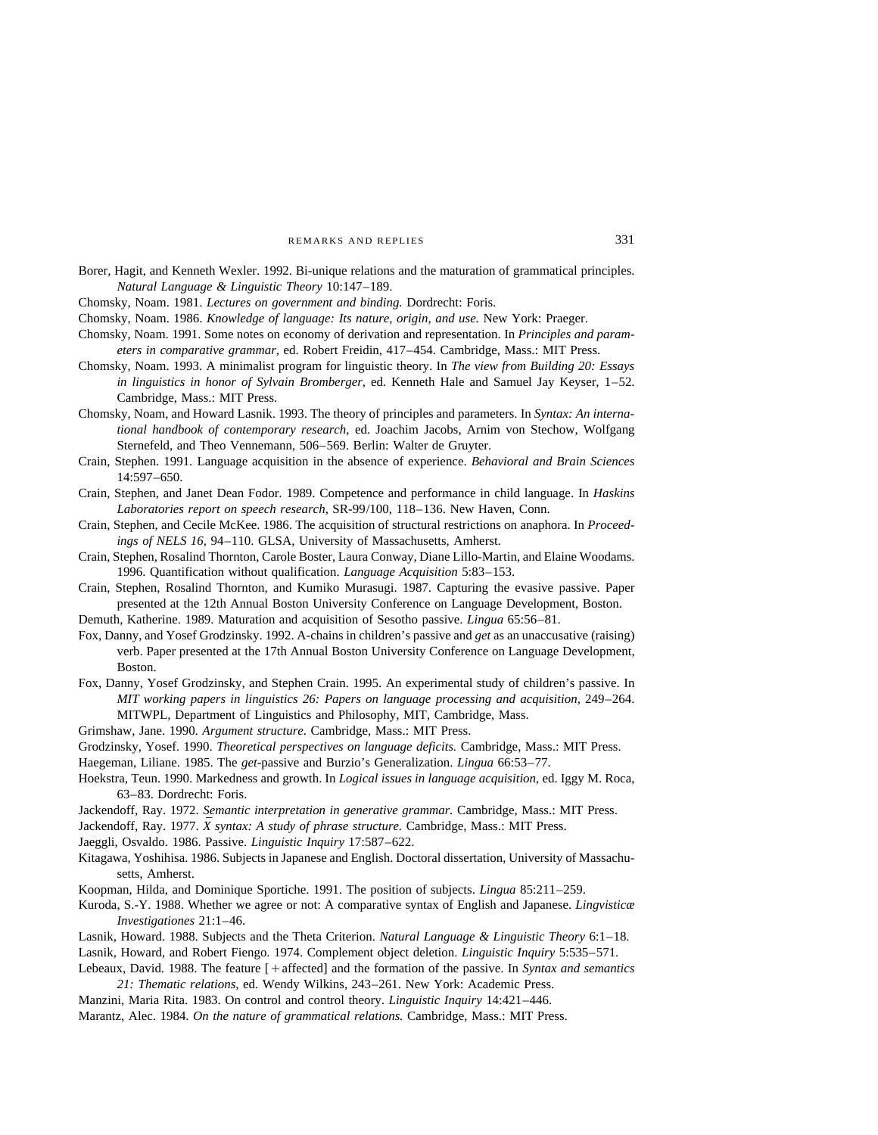- Borer, Hagit, and Kenneth Wexler. 1992. Bi-unique relations and the maturation of grammatical principles. *Natural Language & Linguistic Theory* 10:147–189.
- Chomsky, Noam. 1981. *Lectures on government and binding.* Dordrecht: Foris.
- Chomsky, Noam. 1986. *Knowledge of language: Its nature, origin, and use.* New York: Praeger.
- Chomsky, Noam. 1991. Some notes on economy of derivation and representation. In *Principles and parameters in comparative grammar,* ed. Robert Freidin, 417–454. Cambridge, Mass.: MIT Press.
- Chomsky, Noam. 1993. A minimalist program for linguistic theory. In *The view from Building 20: Essays in linguistics in honor of Sylvain Bromberger,* ed. Kenneth Hale and Samuel Jay Keyser, 1–52. Cambridge, Mass.: MIT Press.
- Chomsky, Noam, and Howard Lasnik. 1993. The theory of principles and parameters. In *Syntax: An international handbook of contemporary research,* ed. Joachim Jacobs, Arnim von Stechow, Wolfgang Sternefeld, and Theo Vennemann, 506–569. Berlin: Walter de Gruyter.
- Crain, Stephen. 1991. Language acquisition in the absence of experience. *Behavioral and Brain Sciences* 14:597–650.
- Crain, Stephen, and Janet Dean Fodor. 1989. Competence and performance in child language. In *Haskins Laboratories report on speech research*, SR-99/100, 118–136. New Haven, Conn.
- Crain, Stephen, and Cecile McKee. 1986. The acquisition of structural restrictions on anaphora. In *Proceedings of NELS 16,* 94–110. GLSA, University of Massachusetts, Amherst.
- Crain, Stephen, Rosalind Thornton, Carole Boster, Laura Conway, Diane Lillo-Martin, and Elaine Woodams. 1996. Quantification without qualification. *Language Acquisition* 5:83–153.
- Crain, Stephen, Rosalind Thornton, and Kumiko Murasugi. 1987. Capturing the evasive passive. Paper presented at the 12th Annual Boston University Conference on Language Development, Boston.

Demuth, Katherine. 1989. Maturation and acquisition of Sesotho passive. *Lingua* 65:56–81.

- Fox, Danny, and Yosef Grodzinsky. 1992. A-chains in children's passive and *get* as an unaccusative (raising) verb. Paper presented at the 17th Annual Boston University Conference on Language Development, Boston.
- Fox, Danny, Yosef Grodzinsky, and Stephen Crain. 1995. An experimental study of children's passive. In *MIT working papers in linguistics 26: Papers on language processing and acquisition,* 249–264. MITWPL, Department of Linguistics and Philosophy, MIT, Cambridge, Mass.
- Grimshaw, Jane. 1990. *Argument structure.* Cambridge, Mass.: MIT Press.
- Grodzinsky, Yosef. 1990. *Theoretical perspectives on language deficits.* Cambridge, Mass.: MIT Press.
- Haegeman, Liliane. 1985. The *get-*passive and Burzio's Generalization. *Lingua* 66:53–77.
- Hoekstra, Teun. 1990. Markedness and growth. In *Logical issues in language acquisition,* ed. Iggy M. Roca, 63–83. Dordrecht: Foris.
- Jackendoff, Ray. 1972. *Semantic interpretation in generative grammar.* Cambridge, Mass.: MIT Press.
- Jackendoff, Ray. 1977.  $\bar{X}$  *syntax: A study of phrase structure.* Cambridge, Mass.: MIT Press.
- Jaeggli, Osvaldo. 1986. Passive. *Linguistic Inquiry* 17:587–622.
- Kitagawa, Yoshihisa. 1986. Subjects in Japanese and English. Doctoral dissertation, University of Massachusetts, Amherst.
- Koopman, Hilda, and Dominique Sportiche. 1991. The position of subjects. *Lingua* 85:211–259.
- Kuroda, S.-Y. 1988. Whether we agree or not: A comparative syntax of English and Japanese. *Lingvisticæ Investigationes* 21:1–46.
- Lasnik, Howard. 1988. Subjects and the Theta Criterion. *Natural Language & Linguistic Theory* 6:1–18. Lasnik, Howard, and Robert Fiengo. 1974. Complement object deletion. *Linguistic Inquiry* 5:535–571. Lebeaux, David. 1988. The feature  $[+a$ ffected] and the formation of the passive. In *Syntax and semantics*
- *21: Thematic relations,* ed. Wendy Wilkins, 243–261. New York: Academic Press. Manzini, Maria Rita. 1983. On control and control theory. *Linguistic Inquiry* 14:421–446.
- Marantz, Alec. 1984. *On the nature of grammatical relations.* Cambridge, Mass.: MIT Press.